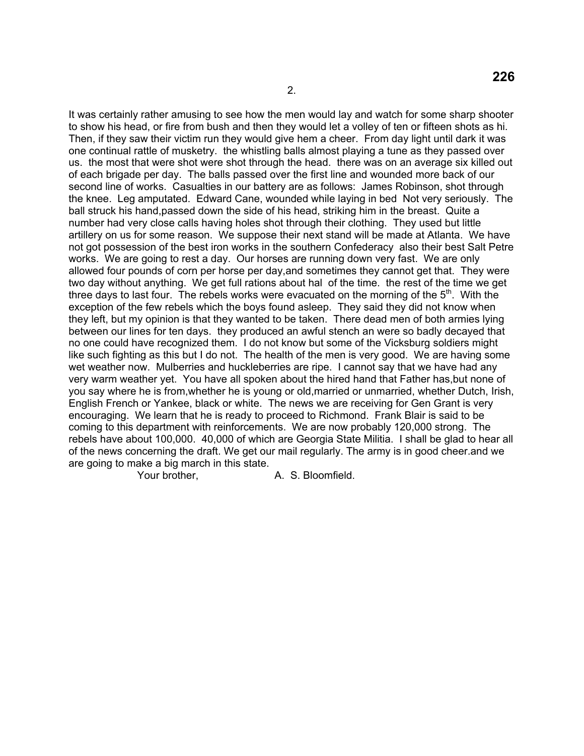It was certainly rather amusing to see how the men would lay and watch for some sharp shooter to show his head, or fire from bush and then they would let a volley of ten or fifteen shots as hi. Then, if they saw their victim run they would give hem a cheer. From day light until dark it was one continual rattle of musketry. the whistling balls almost playing a tune as they passed over us. the most that were shot were shot through the head. there was on an average six killed out of each brigade per day. The balls passed over the first line and wounded more back of our second line of works. Casualties in our battery are as follows: James Robinson, shot through the knee. Leg amputated. Edward Cane, wounded while laying in bed Not very seriously. The ball struck his hand,passed down the side of his head, striking him in the breast. Quite a number had very close calls having holes shot through their clothing. They used but little artillery on us for some reason. We suppose their next stand will be made at Atlanta. We have not got possession of the best iron works in the southern Confederacy also their best Salt Petre works. We are going to rest a day. Our horses are running down very fast. We are only allowed four pounds of corn per horse per day,and sometimes they cannot get that. They were two day without anything. We get full rations about hal of the time. the rest of the time we get three days to last four. The rebels works were evacuated on the morning of the  $5<sup>th</sup>$ . With the exception of the few rebels which the boys found asleep. They said they did not know when they left, but my opinion is that they wanted to be taken. There dead men of both armies lying between our lines for ten days. they produced an awful stench an were so badly decayed that no one could have recognized them. I do not know but some of the Vicksburg soldiers might like such fighting as this but I do not. The health of the men is very good. We are having some wet weather now. Mulberries and huckleberries are ripe. I cannot say that we have had any very warm weather yet. You have all spoken about the hired hand that Father has,but none of you say where he is from,whether he is young or old,married or unmarried, whether Dutch, Irish, English French or Yankee, black or white. The news we are receiving for Gen Grant is very encouraging. We learn that he is ready to proceed to Richmond. Frank Blair is said to be coming to this department with reinforcements. We are now probably 120,000 strong. The rebels have about 100,000. 40,000 of which are Georgia State Militia. I shall be glad to hear all of the news concerning the draft. We get our mail regularly. The army is in good cheer.and we are going to make a big march in this state.

Your brother, A. S. Bloomfield.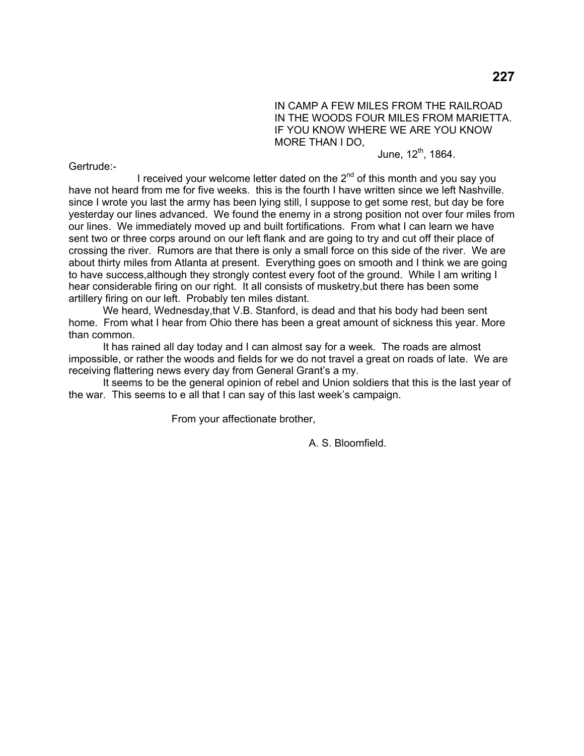IN CAMP A FEW MILES FROM THE RAILROAD IN THE WOODS FOUR MILES FROM MARIETTA. IF YOU KNOW WHERE WE ARE YOU KNOW MORE THAN I DO,

June,  $12^{th}$ , 1864.

Gertrude:-

I received your welcome letter dated on the  $2<sup>nd</sup>$  of this month and you say you have not heard from me for five weeks. this is the fourth I have written since we left Nashville. since I wrote you last the army has been lying still, I suppose to get some rest, but day be fore yesterday our lines advanced. We found the enemy in a strong position not over four miles from our lines. We immediately moved up and built fortifications. From what I can learn we have sent two or three corps around on our left flank and are going to try and cut off their place of crossing the river. Rumors are that there is only a small force on this side of the river. We are about thirty miles from Atlanta at present. Everything goes on smooth and I think we are going to have success,although they strongly contest every foot of the ground. While I am writing I hear considerable firing on our right. It all consists of musketry,but there has been some artillery firing on our left. Probably ten miles distant.

 We heard, Wednesday,that V.B. Stanford, is dead and that his body had been sent home. From what I hear from Ohio there has been a great amount of sickness this year. More than common.

 It has rained all day today and I can almost say for a week. The roads are almost impossible, or rather the woods and fields for we do not travel a great on roads of late. We are receiving flattering news every day from General Grant's a my.

 It seems to be the general opinion of rebel and Union soldiers that this is the last year of the war. This seems to e all that I can say of this last week's campaign.

From your affectionate brother,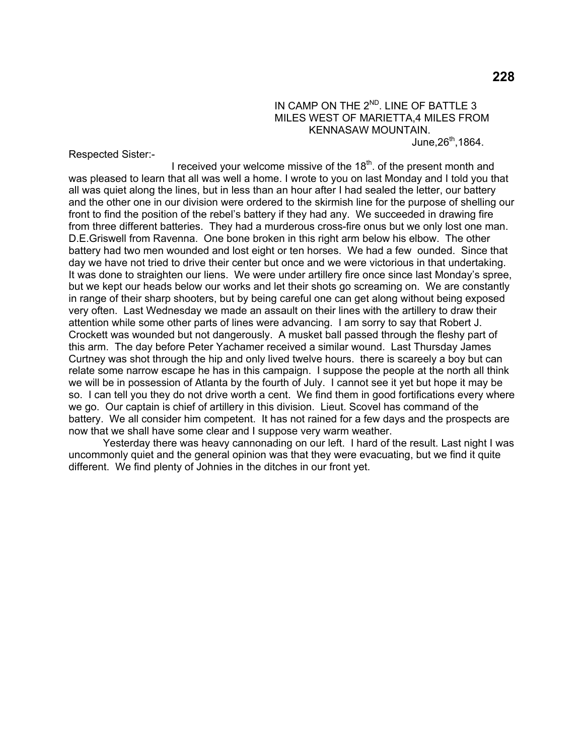IN CAMP ON THE 2<sup>ND</sup>. LINE OF BATTLE 3 MILES WEST OF MARIETTA,4 MILES FROM KENNASAW MOUNTAIN. June, $26^{th}$ ,1864.

Respected Sister:-

I received your welcome missive of the  $18<sup>th</sup>$  of the present month and was pleased to learn that all was well a home. I wrote to you on last Monday and I told you that all was quiet along the lines, but in less than an hour after I had sealed the letter, our battery and the other one in our division were ordered to the skirmish line for the purpose of shelling our front to find the position of the rebel's battery if they had any. We succeeded in drawing fire from three different batteries. They had a murderous cross-fire onus but we only lost one man. D.E.Griswell from Ravenna. One bone broken in this right arm below his elbow. The other battery had two men wounded and lost eight or ten horses. We had a few ounded. Since that day we have not tried to drive their center but once and we were victorious in that undertaking. It was done to straighten our liens. We were under artillery fire once since last Monday's spree, but we kept our heads below our works and let their shots go screaming on. We are constantly in range of their sharp shooters, but by being careful one can get along without being exposed very often. Last Wednesday we made an assault on their lines with the artillery to draw their attention while some other parts of lines were advancing. I am sorry to say that Robert J. Crockett was wounded but not dangerously. A musket ball passed through the fleshy part of this arm. The day before Peter Yachamer received a similar wound. Last Thursday James Curtney was shot through the hip and only lived twelve hours. there is scareely a boy but can relate some narrow escape he has in this campaign. I suppose the people at the north all think we will be in possession of Atlanta by the fourth of July. I cannot see it yet but hope it may be so. I can tell you they do not drive worth a cent. We find them in good fortifications every where we go. Our captain is chief of artillery in this division. Lieut. Scovel has command of the battery. We all consider him competent. It has not rained for a few days and the prospects are now that we shall have some clear and I suppose very warm weather.

 Yesterday there was heavy cannonading on our left. I hard of the result. Last night I was uncommonly quiet and the general opinion was that they were evacuating, but we find it quite different. We find plenty of Johnies in the ditches in our front yet.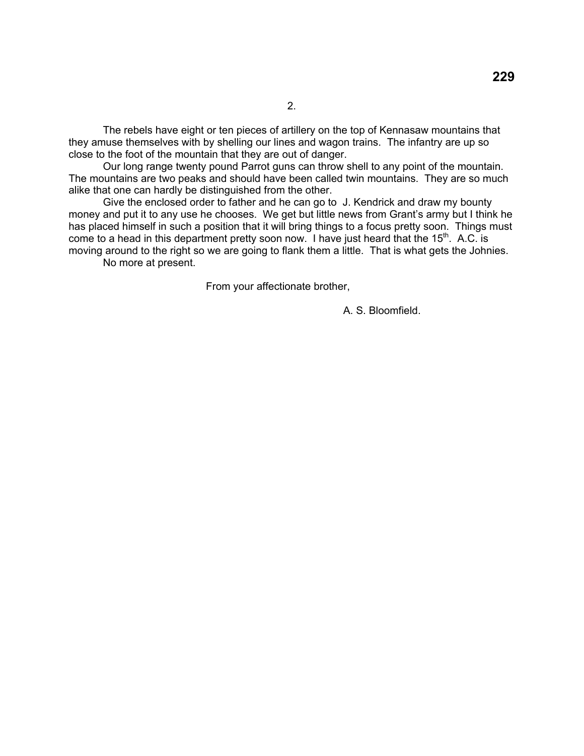The rebels have eight or ten pieces of artillery on the top of Kennasaw mountains that they amuse themselves with by shelling our lines and wagon trains. The infantry are up so close to the foot of the mountain that they are out of danger.

 Our long range twenty pound Parrot guns can throw shell to any point of the mountain. The mountains are two peaks and should have been called twin mountains. They are so much alike that one can hardly be distinguished from the other.

 Give the enclosed order to father and he can go to J. Kendrick and draw my bounty money and put it to any use he chooses. We get but little news from Grant's army but I think he has placed himself in such a position that it will bring things to a focus pretty soon. Things must come to a head in this department pretty soon now. I have just heard that the  $15<sup>th</sup>$ . A.C. is moving around to the right so we are going to flank them a little. That is what gets the Johnies.

No more at present.

From your affectionate brother,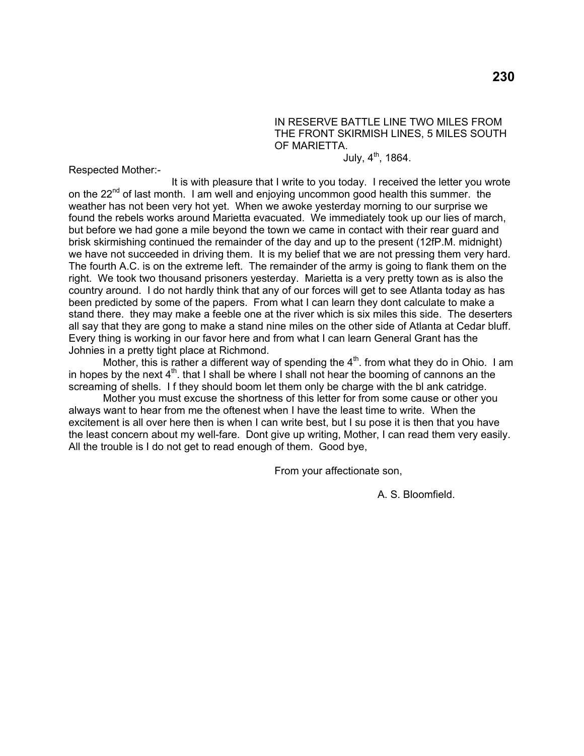### IN RESERVE BATTLE LINE TWO MILES FROM THE FRONT SKIRMISH LINES, 5 MILES SOUTH OF MARIETTA.

July,  $4^{th}$ , 1864.

Respected Mother:-

 It is with pleasure that I write to you today. I received the letter you wrote on the 22<sup>nd</sup> of last month. I am well and enjoying uncommon good health this summer. the weather has not been very hot yet. When we awoke yesterday morning to our surprise we found the rebels works around Marietta evacuated. We immediately took up our lies of march, but before we had gone a mile beyond the town we came in contact with their rear guard and brisk skirmishing continued the remainder of the day and up to the present (12fP.M. midnight) we have not succeeded in driving them. It is my belief that we are not pressing them very hard. The fourth A.C. is on the extreme left. The remainder of the army is going to flank them on the right. We took two thousand prisoners yesterday. Marietta is a very pretty town as is also the country around. I do not hardly think that any of our forces will get to see Atlanta today as has been predicted by some of the papers. From what I can learn they dont calculate to make a stand there. they may make a feeble one at the river which is six miles this side. The deserters all say that they are gong to make a stand nine miles on the other side of Atlanta at Cedar bluff. Every thing is working in our favor here and from what I can learn General Grant has the Johnies in a pretty tight place at Richmond.

Mother, this is rather a different way of spending the  $4<sup>th</sup>$ . from what they do in Ohio. I am in hopes by the next  $4<sup>th</sup>$ . that I shall be where I shall not hear the booming of cannons an the screaming of shells. I f they should boom let them only be charge with the bl ank catridge.

 Mother you must excuse the shortness of this letter for from some cause or other you always want to hear from me the oftenest when I have the least time to write. When the excitement is all over here then is when I can write best, but I su pose it is then that you have the least concern about my well-fare. Dont give up writing, Mother, I can read them very easily. All the trouble is I do not get to read enough of them. Good bye,

From your affectionate son,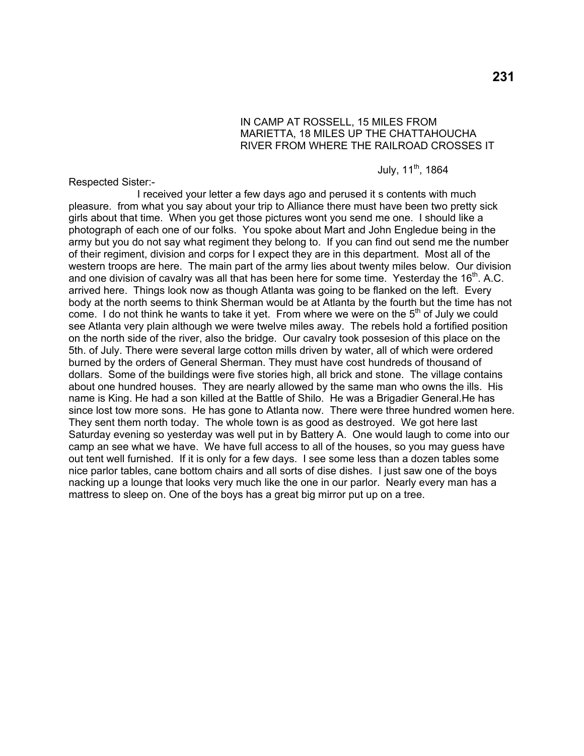## IN CAMP AT ROSSELL, 15 MILES FROM MARIETTA, 18 MILES UP THE CHATTAHOUCHA RIVER FROM WHERE THE RAILROAD CROSSES IT

## July, 11<sup>th</sup>, 1864

Respected Sister:-

 I received your letter a few days ago and perused it s contents with much pleasure. from what you say about your trip to Alliance there must have been two pretty sick girls about that time. When you get those pictures wont you send me one. I should like a photograph of each one of our folks. You spoke about Mart and John Engledue being in the army but you do not say what regiment they belong to. If you can find out send me the number of their regiment, division and corps for I expect they are in this department. Most all of the western troops are here. The main part of the army lies about twenty miles below. Our division and one division of cavalry was all that has been here for some time. Yesterday the  $16<sup>th</sup>$ . A.C. arrived here. Things look now as though Atlanta was going to be flanked on the left. Every body at the north seems to think Sherman would be at Atlanta by the fourth but the time has not come. I do not think he wants to take it yet. From where we were on the  $5<sup>th</sup>$  of July we could see Atlanta very plain although we were twelve miles away. The rebels hold a fortified position on the north side of the river, also the bridge. Our cavalry took possesion of this place on the 5th. of July. There were several large cotton mills driven by water, all of which were ordered burned by the orders of General Sherman. They must have cost hundreds of thousand of dollars. Some of the buildings were five stories high, all brick and stone. The village contains about one hundred houses. They are nearly allowed by the same man who owns the ills. His name is King. He had a son killed at the Battle of Shilo. He was a Brigadier General.He has since lost tow more sons. He has gone to Atlanta now. There were three hundred women here. They sent them north today. The whole town is as good as destroyed. We got here last Saturday evening so yesterday was well put in by Battery A. One would laugh to come into our camp an see what we have. We have full access to all of the houses, so you may guess have out tent well furnished. If it is only for a few days. I see some less than a dozen tables some nice parlor tables, cane bottom chairs and all sorts of dise dishes. I just saw one of the boys nacking up a lounge that looks very much like the one in our parlor. Nearly every man has a mattress to sleep on. One of the boys has a great big mirror put up on a tree.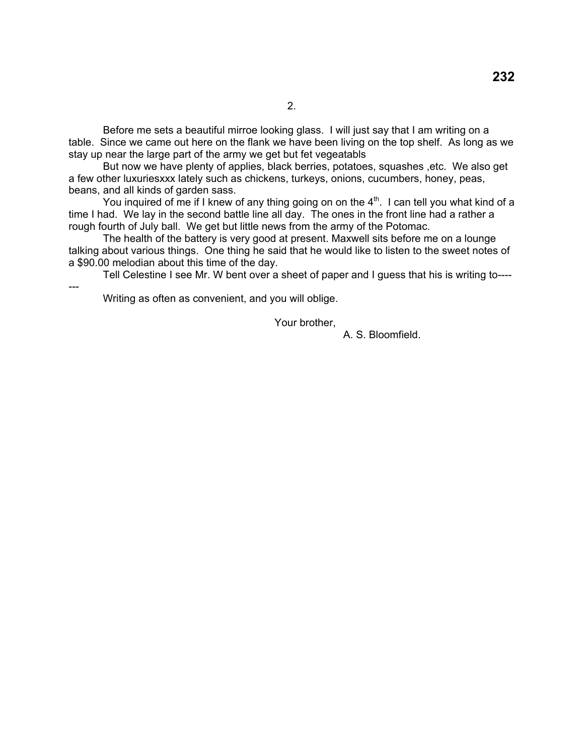Before me sets a beautiful mirroe looking glass. I will just say that I am writing on a table. Since we came out here on the flank we have been living on the top shelf. As long as we stay up near the large part of the army we get but fet vegeatabls

 But now we have plenty of applies, black berries, potatoes, squashes ,etc. We also get a few other luxuriesxxx lately such as chickens, turkeys, onions, cucumbers, honey, peas, beans, and all kinds of garden sass.

You inquired of me if I knew of any thing going on on the  $4<sup>th</sup>$ . I can tell you what kind of a time I had. We lay in the second battle line all day. The ones in the front line had a rather a rough fourth of July ball. We get but little news from the army of the Potomac.

 The health of the battery is very good at present. Maxwell sits before me on a lounge talking about various things. One thing he said that he would like to listen to the sweet notes of a \$90.00 melodian about this time of the day.

Tell Celestine I see Mr. W bent over a sheet of paper and I guess that his is writing to----

Writing as often as convenient, and you will oblige.

---

Your brother,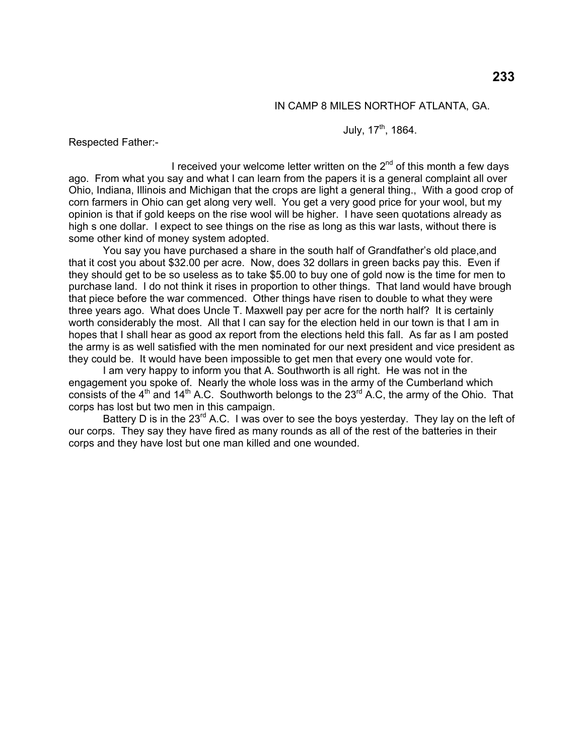#### IN CAMP 8 MILES NORTHOF ATLANTA, GA.

July, 17<sup>th</sup>, 1864.

Respected Father:-

I received your welcome letter written on the  $2<sup>nd</sup>$  of this month a few days ago. From what you say and what I can learn from the papers it is a general complaint all over Ohio, Indiana, Illinois and Michigan that the crops are light a general thing., With a good crop of corn farmers in Ohio can get along very well. You get a very good price for your wool, but my opinion is that if gold keeps on the rise wool will be higher. I have seen quotations already as high s one dollar. I expect to see things on the rise as long as this war lasts, without there is some other kind of money system adopted.

 You say you have purchased a share in the south half of Grandfather's old place,and that it cost you about \$32.00 per acre. Now, does 32 dollars in green backs pay this. Even if they should get to be so useless as to take \$5.00 to buy one of gold now is the time for men to purchase land. I do not think it rises in proportion to other things. That land would have brough that piece before the war commenced. Other things have risen to double to what they were three years ago. What does Uncle T. Maxwell pay per acre for the north half? It is certainly worth considerably the most. All that I can say for the election held in our town is that I am in hopes that I shall hear as good ax report from the elections held this fall. As far as I am posted the army is as well satisfied with the men nominated for our next president and vice president as they could be. It would have been impossible to get men that every one would vote for.

 I am very happy to inform you that A. Southworth is all right. He was not in the engagement you spoke of. Nearly the whole loss was in the army of the Cumberland which consists of the  $4<sup>th</sup>$  and  $14<sup>th</sup>$  A.C. Southworth belongs to the 23<sup>rd</sup> A.C, the army of the Ohio. That corps has lost but two men in this campaign.

Battery D is in the  $23^{rd}$  A.C. I was over to see the boys yesterday. They lay on the left of our corps. They say they have fired as many rounds as all of the rest of the batteries in their corps and they have lost but one man killed and one wounded.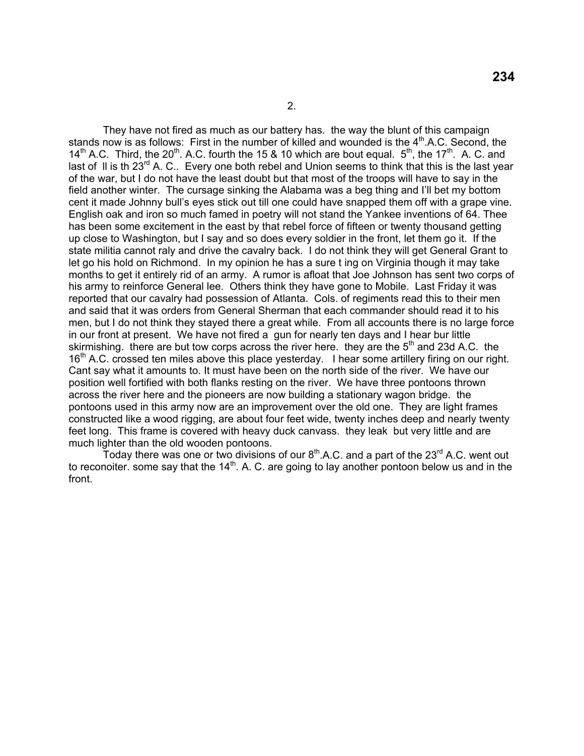They have not fired as much as our battery has. the way the blunt of this campaign stands now is as follows: First in the number of killed and wounded is the  $4<sup>th</sup>$ .A.C. Second, the 14<sup>th</sup> A.C. Third, the 20<sup>th</sup>. A.C. fourth the 15 & 10 which are bout equal.  $5<sup>th</sup>$ , the 17<sup>th</sup>. A. C. and last of II is th 23 $^{rd}$  A. C.. Every one both rebel and Union seems to think that this is the last year of the war, but I do not have the least doubt but that most of the troops will have to say in the field another winter. The cursage sinking the Alabama was a beg thing and I'll bet my bottom cent it made Johnny bull's eyes stick out till one could have snapped them off with a grape vine. English oak and iron so much famed in poetry will not stand the Yankee inventions of 64. Thee has been some excitement in the east by that rebel force of fifteen or twenty thousand getting up close to Washington, but I say and so does every soldier in the front, let them go it. If the state militia cannot raly and drive the cavalry back. I do not think they will get General Grant to let go his hold on Richmond. In my opinion he has a sure t ing on Virginia though it may take months to get it entirely rid of an army. A rumor is afloat that Joe Johnson has sent two corps of his army to reinforce General lee. Others think they have gone to Mobile. Last Friday it was reported that our cavalry had possession of Atlanta. Cols. of regiments read this to their men and said that it was orders from General Sherman that each commander should read it to his men, but I do not think they stayed there a great while. From all accounts there is no large force in our front at present. We have not fired a gun for nearly ten days and I hear bur little skirmishing. there are but tow corps across the river here. they are the  $5<sup>th</sup>$  and 23d A.C. the 16<sup>th</sup> A.C. crossed ten miles above this place yesterday. I hear some artillery firing on our right. Cant say what it amounts to. It must have been on the north side of the river. We have our position well fortified with both flanks resting on the river. We have three pontoons thrown across the river here and the pioneers are now building a stationary wagon bridge. the pontoons used in this army now are an improvement over the old one. They are light frames constructed like a wood rigging, are about four feet wide, twenty inches deep and nearly twenty feet long. This frame is covered with heavy duck canvass. they leak but very little and are much lighter than the old wooden pontoons.

Today there was one or two divisions of our  $8<sup>th</sup>$ .A.C. and a part of the 23<sup>rd</sup> A.C. went out to reconoiter. some say that the  $14<sup>th</sup>$ . A. C. are going to lay another pontoon below us and in the front.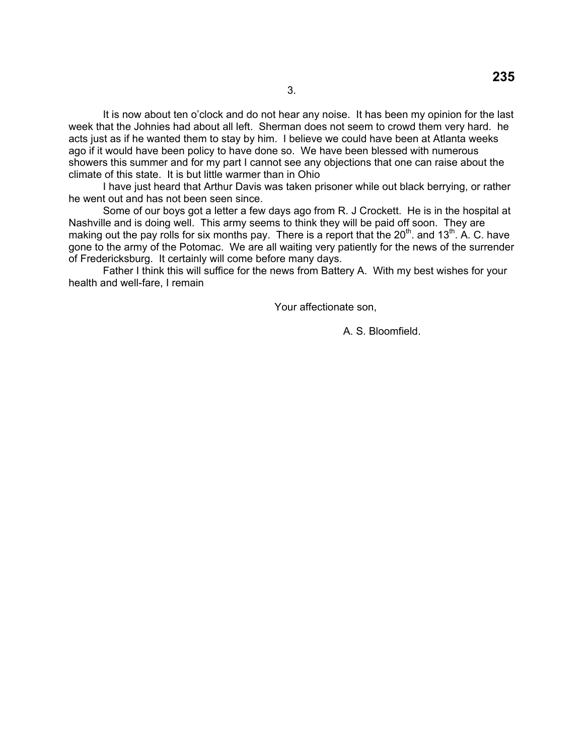It is now about ten o'clock and do not hear any noise. It has been my opinion for the last week that the Johnies had about all left. Sherman does not seem to crowd them very hard. he acts just as if he wanted them to stay by him. I believe we could have been at Atlanta weeks ago if it would have been policy to have done so. We have been blessed with numerous showers this summer and for my part I cannot see any objections that one can raise about the climate of this state. It is but little warmer than in Ohio

 I have just heard that Arthur Davis was taken prisoner while out black berrying, or rather he went out and has not been seen since.

 Some of our boys got a letter a few days ago from R. J Crockett. He is in the hospital at Nashville and is doing well. This army seems to think they will be paid off soon. They are making out the pay rolls for six months pay. There is a report that the  $20<sup>th</sup>$  and  $13<sup>th</sup>$ . A. C. have gone to the army of the Potomac. We are all waiting very patiently for the news of the surrender of Fredericksburg. It certainly will come before many days.

 Father I think this will suffice for the news from Battery A. With my best wishes for your health and well-fare, I remain

Your affectionate son,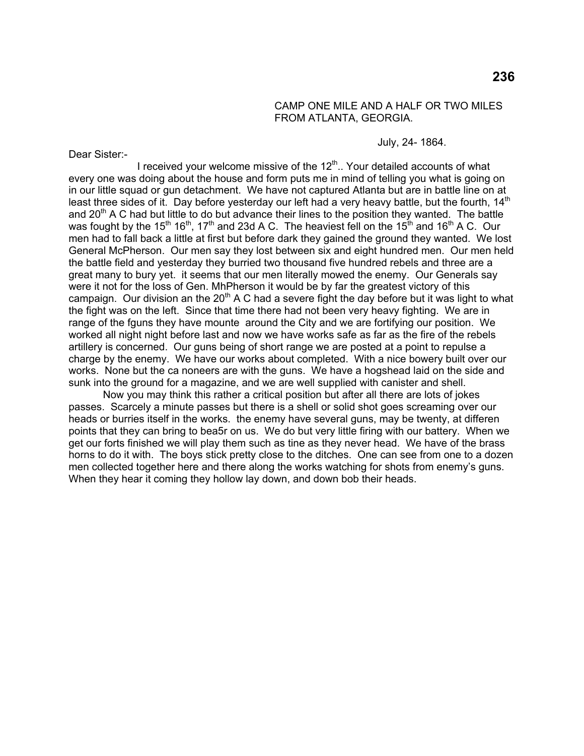#### CAMP ONE MILE AND A HALF OR TWO MILES FROM ATLANTA, GEORGIA.

July, 24- 1864.

Dear Sister:-

I received your welcome missive of the  $12<sup>th</sup>$ .. Your detailed accounts of what every one was doing about the house and form puts me in mind of telling you what is going on in our little squad or gun detachment. We have not captured Atlanta but are in battle line on at least three sides of it. Day before yesterday our left had a very heavy battle, but the fourth,  $14<sup>th</sup>$ and 20<sup>th</sup> A C had but little to do but advance their lines to the position they wanted. The battle was fought by the 15<sup>th</sup> 16<sup>th</sup>, 17<sup>th</sup> and 23d A C. The heaviest fell on the 15<sup>th</sup> and 16<sup>th</sup> A C. Our men had to fall back a little at first but before dark they gained the ground they wanted. We lost General McPherson. Our men say they lost between six and eight hundred men. Our men held the battle field and yesterday they burried two thousand five hundred rebels and three are a great many to bury yet. it seems that our men literally mowed the enemy. Our Generals say were it not for the loss of Gen. MhPherson it would be by far the greatest victory of this campaign. Our division an the  $20<sup>th</sup>$  A C had a severe fight the day before but it was light to what the fight was on the left. Since that time there had not been very heavy fighting. We are in range of the fguns they have mounte around the City and we are fortifying our position. We worked all night night before last and now we have works safe as far as the fire of the rebels artillery is concerned. Our guns being of short range we are posted at a point to repulse a charge by the enemy. We have our works about completed. With a nice bowery built over our works. None but the ca noneers are with the guns. We have a hogshead laid on the side and sunk into the ground for a magazine, and we are well supplied with canister and shell.

 Now you may think this rather a critical position but after all there are lots of jokes passes. Scarcely a minute passes but there is a shell or solid shot goes screaming over our heads or burries itself in the works. the enemy have several guns, may be twenty, at differen points that they can bring to bea5r on us. We do but very little firing with our battery. When we get our forts finished we will play them such as tine as they never head. We have of the brass horns to do it with. The boys stick pretty close to the ditches. One can see from one to a dozen men collected together here and there along the works watching for shots from enemy's guns. When they hear it coming they hollow lay down, and down bob their heads.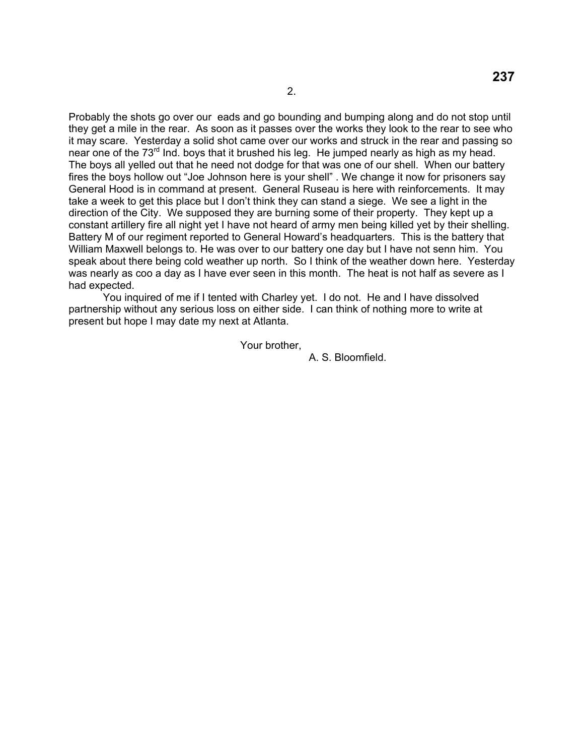Probably the shots go over our eads and go bounding and bumping along and do not stop until they get a mile in the rear. As soon as it passes over the works they look to the rear to see who it may scare. Yesterday a solid shot came over our works and struck in the rear and passing so near one of the 73<sup>rd</sup> Ind. boys that it brushed his leg. He jumped nearly as high as my head. The boys all yelled out that he need not dodge for that was one of our shell. When our battery fires the boys hollow out "Joe Johnson here is your shell" . We change it now for prisoners say General Hood is in command at present. General Ruseau is here with reinforcements. It may take a week to get this place but I don't think they can stand a siege. We see a light in the direction of the City. We supposed they are burning some of their property. They kept up a constant artillery fire all night yet I have not heard of army men being killed yet by their shelling. Battery M of our regiment reported to General Howard's headquarters. This is the battery that William Maxwell belongs to. He was over to our battery one day but I have not senn him. You speak about there being cold weather up north. So I think of the weather down here. Yesterday was nearly as coo a day as I have ever seen in this month. The heat is not half as severe as I had expected.

 You inquired of me if I tented with Charley yet. I do not. He and I have dissolved partnership without any serious loss on either side. I can think of nothing more to write at present but hope I may date my next at Atlanta.

Your brother,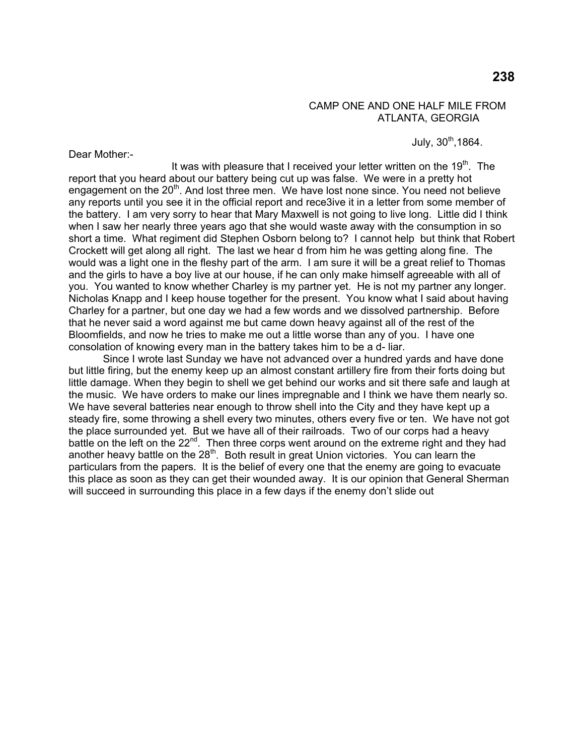### CAMP ONE AND ONE HALF MILE FROM ATLANTA, GEORGIA

July,  $30^{th}$ ,1864.

Dear Mother:-

It was with pleasure that I received your letter written on the  $19<sup>th</sup>$ . The report that you heard about our battery being cut up was false. We were in a pretty hot engagement on the  $20<sup>th</sup>$ . And lost three men. We have lost none since. You need not believe any reports until you see it in the official report and rece3ive it in a letter from some member of the battery. I am very sorry to hear that Mary Maxwell is not going to live long. Little did I think when I saw her nearly three years ago that she would waste away with the consumption in so short a time. What regiment did Stephen Osborn belong to? I cannot help but think that Robert Crockett will get along all right. The last we hear d from him he was getting along fine. The would was a light one in the fleshy part of the arm. I am sure it will be a great relief to Thomas and the girls to have a boy live at our house, if he can only make himself agreeable with all of you. You wanted to know whether Charley is my partner yet. He is not my partner any longer. Nicholas Knapp and I keep house together for the present. You know what I said about having Charley for a partner, but one day we had a few words and we dissolved partnership. Before that he never said a word against me but came down heavy against all of the rest of the Bloomfields, and now he tries to make me out a little worse than any of you. I have one consolation of knowing every man in the battery takes him to be a d- liar.

 Since I wrote last Sunday we have not advanced over a hundred yards and have done but little firing, but the enemy keep up an almost constant artillery fire from their forts doing but little damage. When they begin to shell we get behind our works and sit there safe and laugh at the music. We have orders to make our lines impregnable and I think we have them nearly so. We have several batteries near enough to throw shell into the City and they have kept up a steady fire, some throwing a shell every two minutes, others every five or ten. We have not got the place surrounded yet. But we have all of their railroads. Two of our corps had a heavy battle on the left on the 22<sup>nd</sup>. Then three corps went around on the extreme right and they had another heavy battle on the  $28<sup>th</sup>$ . Both result in great Union victories. You can learn the particulars from the papers. It is the belief of every one that the enemy are going to evacuate this place as soon as they can get their wounded away. It is our opinion that General Sherman will succeed in surrounding this place in a few days if the enemy don't slide out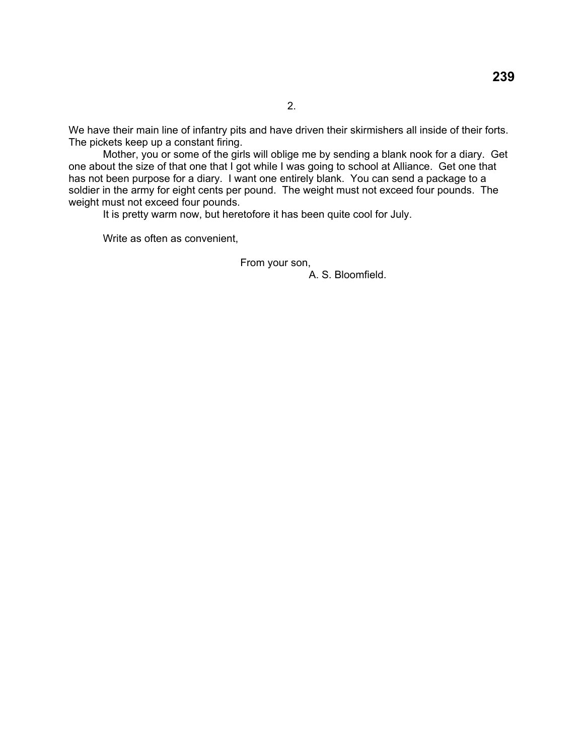We have their main line of infantry pits and have driven their skirmishers all inside of their forts. The pickets keep up a constant firing.

 Mother, you or some of the girls will oblige me by sending a blank nook for a diary. Get one about the size of that one that I got while I was going to school at Alliance. Get one that has not been purpose for a diary. I want one entirely blank. You can send a package to a soldier in the army for eight cents per pound. The weight must not exceed four pounds. The weight must not exceed four pounds.

It is pretty warm now, but heretofore it has been quite cool for July.

Write as often as convenient,

From your son,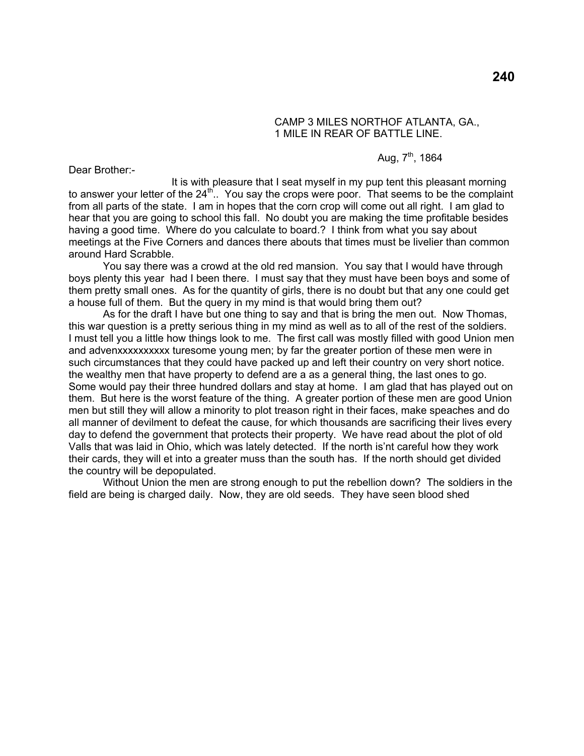### CAMP 3 MILES NORTHOF ATLANTA, GA., 1 MILE IN REAR OF BATTLE LINE.

## Aug,  $7^{th}$ , 1864

Dear Brother:-

 It is with pleasure that I seat myself in my pup tent this pleasant morning to answer your letter of the  $24<sup>th</sup>$ . You say the crops were poor. That seems to be the complaint from all parts of the state. I am in hopes that the corn crop will come out all right. I am glad to hear that you are going to school this fall. No doubt you are making the time profitable besides having a good time. Where do you calculate to board.? I think from what you say about meetings at the Five Corners and dances there abouts that times must be livelier than common around Hard Scrabble.

 You say there was a crowd at the old red mansion. You say that I would have through boys plenty this year had I been there. I must say that they must have been boys and some of them pretty small ones. As for the quantity of girls, there is no doubt but that any one could get a house full of them. But the query in my mind is that would bring them out?

 As for the draft I have but one thing to say and that is bring the men out. Now Thomas, this war question is a pretty serious thing in my mind as well as to all of the rest of the soldiers. I must tell you a little how things look to me. The first call was mostly filled with good Union men and advenxxxxxxxxxx turesome young men; by far the greater portion of these men were in such circumstances that they could have packed up and left their country on very short notice. the wealthy men that have property to defend are a as a general thing, the last ones to go. Some would pay their three hundred dollars and stay at home. I am glad that has played out on them. But here is the worst feature of the thing. A greater portion of these men are good Union men but still they will allow a minority to plot treason right in their faces, make speaches and do all manner of devilment to defeat the cause, for which thousands are sacrificing their lives every day to defend the government that protects their property. We have read about the plot of old Valls that was laid in Ohio, which was lately detected. If the north is'nt careful how they work their cards, they will et into a greater muss than the south has. If the north should get divided the country will be depopulated.

 Without Union the men are strong enough to put the rebellion down? The soldiers in the field are being is charged daily. Now, they are old seeds. They have seen blood shed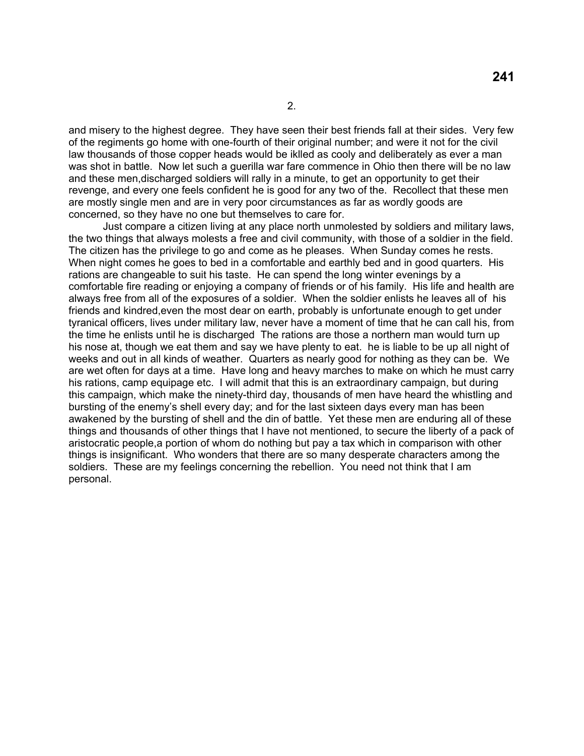and misery to the highest degree. They have seen their best friends fall at their sides. Very few of the regiments go home with one-fourth of their original number; and were it not for the civil law thousands of those copper heads would be iklled as cooly and deliberately as ever a man was shot in battle. Now let such a guerilla war fare commence in Ohio then there will be no law and these men,discharged soldiers will rally in a minute, to get an opportunity to get their revenge, and every one feels confident he is good for any two of the. Recollect that these men are mostly single men and are in very poor circumstances as far as wordly goods are concerned, so they have no one but themselves to care for.

 Just compare a citizen living at any place north unmolested by soldiers and military laws, the two things that always molests a free and civil community, with those of a soldier in the field. The citizen has the privilege to go and come as he pleases. When Sunday comes he rests. When night comes he goes to bed in a comfortable and earthly bed and in good quarters. His rations are changeable to suit his taste. He can spend the long winter evenings by a comfortable fire reading or enjoying a company of friends or of his family. His life and health are always free from all of the exposures of a soldier. When the soldier enlists he leaves all of his friends and kindred,even the most dear on earth, probably is unfortunate enough to get under tyranical officers, lives under military law, never have a moment of time that he can call his, from the time he enlists until he is discharged The rations are those a northern man would turn up his nose at, though we eat them and say we have plenty to eat. he is liable to be up all night of weeks and out in all kinds of weather. Quarters as nearly good for nothing as they can be. We are wet often for days at a time. Have long and heavy marches to make on which he must carry his rations, camp equipage etc. I will admit that this is an extraordinary campaign, but during this campaign, which make the ninety-third day, thousands of men have heard the whistling and bursting of the enemy's shell every day; and for the last sixteen days every man has been awakened by the bursting of shell and the din of battle. Yet these men are enduring all of these things and thousands of other things that I have not mentioned, to secure the liberty of a pack of aristocratic people,a portion of whom do nothing but pay a tax which in comparison with other things is insignificant. Who wonders that there are so many desperate characters among the soldiers. These are my feelings concerning the rebellion. You need not think that I am personal.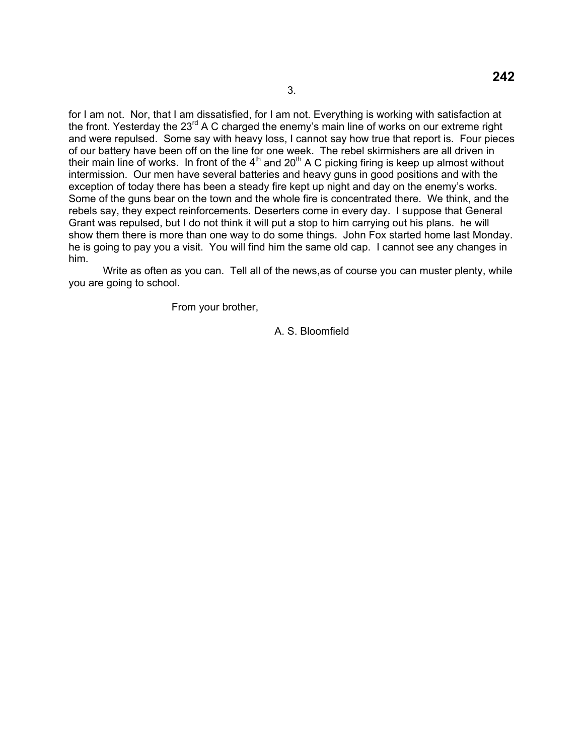for I am not. Nor, that I am dissatisfied, for I am not. Everything is working with satisfaction at the front. Yesterday the 23<sup>rd</sup> A C charged the enemy's main line of works on our extreme right and were repulsed. Some say with heavy loss, I cannot say how true that report is. Four pieces of our battery have been off on the line for one week. The rebel skirmishers are all driven in their main line of works. In front of the  $4<sup>th</sup>$  and  $20<sup>th</sup>$  A C picking firing is keep up almost without intermission. Our men have several batteries and heavy guns in good positions and with the exception of today there has been a steady fire kept up night and day on the enemy's works. Some of the guns bear on the town and the whole fire is concentrated there. We think, and the rebels say, they expect reinforcements. Deserters come in every day. I suppose that General Grant was repulsed, but I do not think it will put a stop to him carrying out his plans. he will show them there is more than one way to do some things. John Fox started home last Monday. he is going to pay you a visit. You will find him the same old cap. I cannot see any changes in him.

 Write as often as you can. Tell all of the news,as of course you can muster plenty, while you are going to school.

From your brother,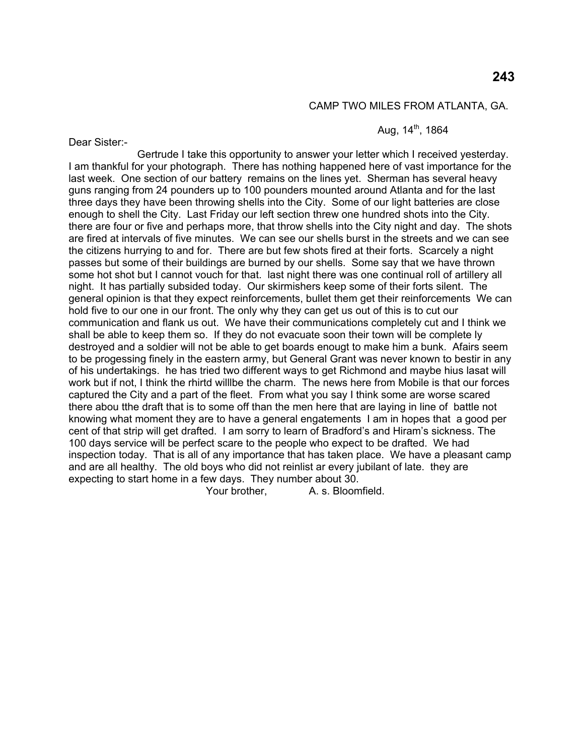#### CAMP TWO MILES FROM ATLANTA, GA.

## Aug.  $14^{th}$ , 1864

Dear Sister:-

 Gertrude I take this opportunity to answer your letter which I received yesterday. I am thankful for your photograph. There has nothing happened here of vast importance for the last week. One section of our battery remains on the lines yet. Sherman has several heavy guns ranging from 24 pounders up to 100 pounders mounted around Atlanta and for the last three days they have been throwing shells into the City. Some of our light batteries are close enough to shell the City. Last Friday our left section threw one hundred shots into the City. there are four or five and perhaps more, that throw shells into the City night and day. The shots are fired at intervals of five minutes. We can see our shells burst in the streets and we can see the citizens hurrying to and for. There are but few shots fired at their forts. Scarcely a night passes but some of their buildings are burned by our shells. Some say that we have thrown some hot shot but I cannot vouch for that. last night there was one continual roll of artillery all night. It has partially subsided today. Our skirmishers keep some of their forts silent. The general opinion is that they expect reinforcements, bullet them get their reinforcements We can hold five to our one in our front. The only why they can get us out of this is to cut our communication and flank us out. We have their communications completely cut and I think we shall be able to keep them so. If they do not evacuate soon their town will be complete ly destroyed and a soldier will not be able to get boards enougt to make him a bunk. Afairs seem to be progessing finely in the eastern army, but General Grant was never known to bestir in any of his undertakings. he has tried two different ways to get Richmond and maybe hius lasat will work but if not, I think the rhirtd willlbe the charm. The news here from Mobile is that our forces captured the City and a part of the fleet. From what you say I think some are worse scared there abou tthe draft that is to some off than the men here that are laying in line of battle not knowing what moment they are to have a general engatements I am in hopes that a good per cent of that strip will get drafted. I am sorry to learn of Bradford's and Hiram's sickness. The 100 days service will be perfect scare to the people who expect to be drafted. We had inspection today. That is all of any importance that has taken place. We have a pleasant camp and are all healthy. The old boys who did not reinlist ar every jubilant of late. they are expecting to start home in a few days. They number about 30.

Your brother, A. s. Bloomfield.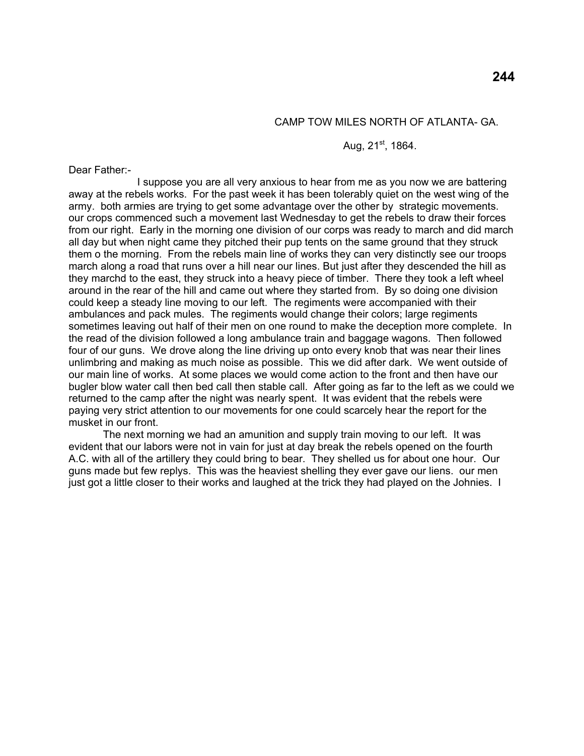### CAMP TOW MILES NORTH OF ATLANTA- GA.

### Aug.  $21^{st}$ , 1864.

Dear Father:-

 I suppose you are all very anxious to hear from me as you now we are battering away at the rebels works. For the past week it has been tolerably quiet on the west wing of the army. both armies are trying to get some advantage over the other by strategic movements. our crops commenced such a movement last Wednesday to get the rebels to draw their forces from our right. Early in the morning one division of our corps was ready to march and did march all day but when night came they pitched their pup tents on the same ground that they struck them o the morning. From the rebels main line of works they can very distinctly see our troops march along a road that runs over a hill near our lines. But just after they descended the hill as they marchd to the east, they struck into a heavy piece of timber. There they took a left wheel around in the rear of the hill and came out where they started from. By so doing one division could keep a steady line moving to our left. The regiments were accompanied with their ambulances and pack mules. The regiments would change their colors; large regiments sometimes leaving out half of their men on one round to make the deception more complete. In the read of the division followed a long ambulance train and baggage wagons. Then followed four of our guns. We drove along the line driving up onto every knob that was near their lines unlimbring and making as much noise as possible. This we did after dark. We went outside of our main line of works. At some places we would come action to the front and then have our bugler blow water call then bed call then stable call. After going as far to the left as we could we returned to the camp after the night was nearly spent. It was evident that the rebels were paying very strict attention to our movements for one could scarcely hear the report for the musket in our front.

 The next morning we had an amunition and supply train moving to our left. It was evident that our labors were not in vain for just at day break the rebels opened on the fourth A.C. with all of the artillery they could bring to bear. They shelled us for about one hour. Our guns made but few replys. This was the heaviest shelling they ever gave our liens. our men just got a little closer to their works and laughed at the trick they had played on the Johnies. I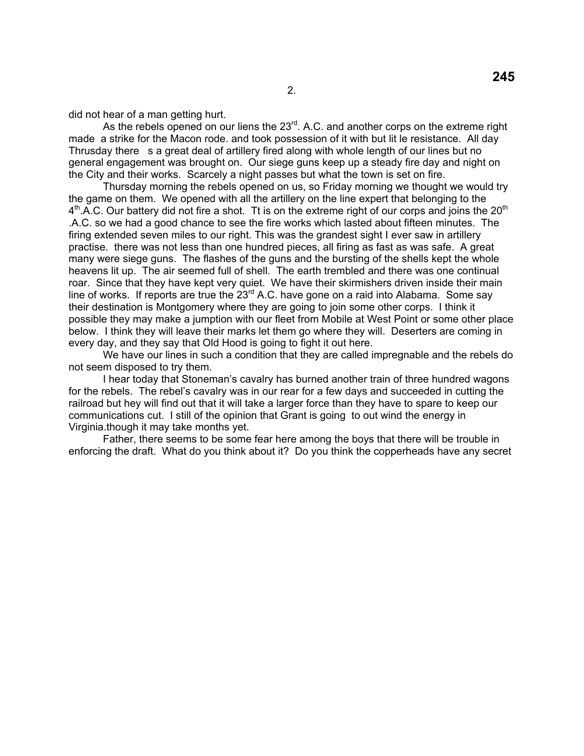did not hear of a man getting hurt.

As the rebels opened on our liens the 23<sup>rd</sup>. A.C. and another corps on the extreme right made a strike for the Macon rode. and took possession of it with but lit le resistance. All day Thrusday there s a great deal of artillery fired along with whole length of our lines but no general engagement was brought on. Our siege guns keep up a steady fire day and night on the City and their works. Scarcely a night passes but what the town is set on fire.

 Thursday morning the rebels opened on us, so Friday morning we thought we would try the game on them. We opened with all the artillery on the line expert that belonging to the  $4<sup>th</sup>$ .A.C. Our battery did not fire a shot. Tt is on the extreme right of our corps and joins the 20<sup>th</sup> .A.C. so we had a good chance to see the fire works which lasted about fifteen minutes. The firing extended seven miles to our right. This was the grandest sight I ever saw in artillery practise. there was not less than one hundred pieces, all firing as fast as was safe. A great many were siege guns. The flashes of the guns and the bursting of the shells kept the whole heavens lit up. The air seemed full of shell. The earth trembled and there was one continual roar. Since that they have kept very quiet. We have their skirmishers driven inside their main line of works. If reports are true the  $23<sup>rd</sup>$  A.C. have gone on a raid into Alabama. Some say their destination is Montgomery where they are going to join some other corps. I think it possible they may make a jumption with our fleet from Mobile at West Point or some other place below. I think they will leave their marks let them go where they will. Deserters are coming in every day, and they say that Old Hood is going to fight it out here.

 We have our lines in such a condition that they are called impregnable and the rebels do not seem disposed to try them.

 I hear today that Stoneman's cavalry has burned another train of three hundred wagons for the rebels. The rebel's cavalry was in our rear for a few days and succeeded in cutting the railroad but hey will find out that it will take a larger force than they have to spare to keep our communications cut. I still of the opinion that Grant is going to out wind the energy in Virginia.though it may take months yet.

 Father, there seems to be some fear here among the boys that there will be trouble in enforcing the draft. What do you think about it? Do you think the copperheads have any secret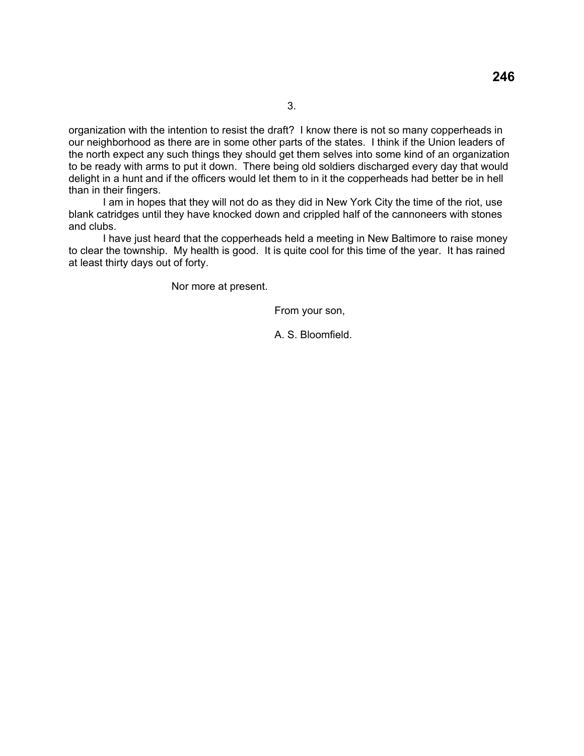organization with the intention to resist the draft? I know there is not so many copperheads in our neighborhood as there are in some other parts of the states. I think if the Union leaders of the north expect any such things they should get them selves into some kind of an organization to be ready with arms to put it down. There being old soldiers discharged every day that would delight in a hunt and if the officers would let them to in it the copperheads had better be in hell than in their fingers.

 I am in hopes that they will not do as they did in New York City the time of the riot, use blank catridges until they have knocked down and crippled half of the cannoneers with stones and clubs.

 I have just heard that the copperheads held a meeting in New Baltimore to raise money to clear the township. My health is good. It is quite cool for this time of the year. It has rained at least thirty days out of forty.

Nor more at present.

From your son,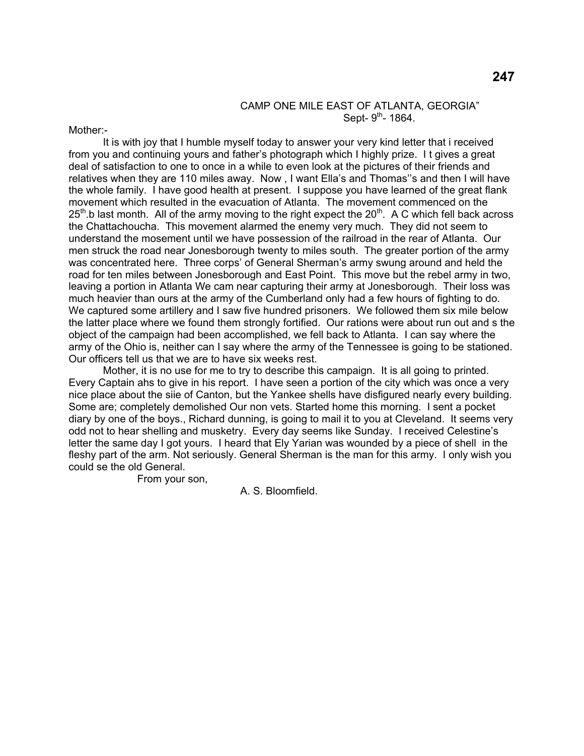#### CAMP ONE MILE EAST OF ATLANTA, GEORGIA" Sept-  $9^{th}$ - 1864.

Mother:-

 It is with joy that I humble myself today to answer your very kind letter that i received from you and continuing yours and father's photograph which I highly prize. I t gives a great deal of satisfaction to one to once in a while to even look at the pictures of their friends and relatives when they are 110 miles away. Now , I want Ella's and Thomas''s and then I will have the whole family. I have good health at present. I suppose you have learned of the great flank movement which resulted in the evacuation of Atlanta. The movement commenced on the  $25<sup>th</sup>$  b last month. All of the army moving to the right expect the  $20<sup>th</sup>$ . A C which fell back across the Chattachoucha. This movement alarmed the enemy very much. They did not seem to understand the mosement until we have possession of the railroad in the rear of Atlanta. Our men struck the road near Jonesborough twenty to miles south. The greater portion of the army was concentrated here. Three corps' of General Sherman's army swung around and held the road for ten miles between Jonesborough and East Point. This move but the rebel army in two, leaving a portion in Atlanta We cam near capturing their army at Jonesborough. Their loss was much heavier than ours at the army of the Cumberland only had a few hours of fighting to do. We captured some artillery and I saw five hundred prisoners. We followed them six mile below the latter place where we found them strongly fortified. Our rations were about run out and s the object of the campaign had been accomplished, we fell back to Atlanta. I can say where the army of the Ohio is, neither can I say where the army of the Tennessee is going to be stationed. Our officers tell us that we are to have six weeks rest.

 Mother, it is no use for me to try to describe this campaign. It is all going to printed. Every Captain ahs to give in his report. I have seen a portion of the city which was once a very nice place about the siie of Canton, but the Yankee shells have disfigured nearly every building. Some are; completely demolished Our non vets. Started home this morning. I sent a pocket diary by one of the boys., Richard dunning, is going to mail it to you at Cleveland. It seems very odd not to hear shelling and musketry. Every day seems like Sunday. I received Celestine's letter the same day I got yours. I heard that Ely Yarian was wounded by a piece of shell in the fleshy part of the arm. Not seriously. General Sherman is the man for this army. I only wish you could se the old General.

From your son,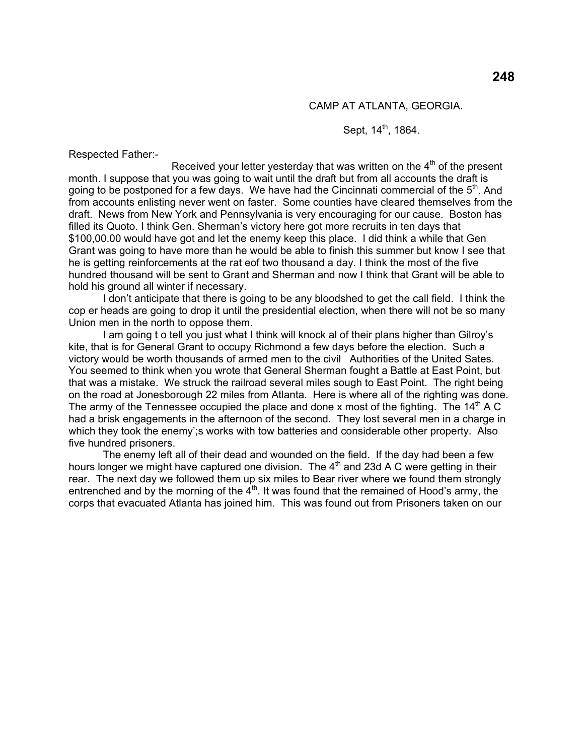#### CAMP AT ATLANTA, GEORGIA.

Sept, 14<sup>th</sup>, 1864.

Respected Father:-

Received your letter yesterday that was written on the  $4<sup>th</sup>$  of the present month. I suppose that you was going to wait until the draft but from all accounts the draft is going to be postponed for a few days. We have had the Cincinnati commercial of the  $5<sup>th</sup>$ . And from accounts enlisting never went on faster. Some counties have cleared themselves from the draft. News from New York and Pennsylvania is very encouraging for our cause. Boston has filled its Quoto. I think Gen. Sherman's victory here got more recruits in ten days that \$100,00.00 would have got and let the enemy keep this place. I did think a while that Gen Grant was going to have more than he would be able to finish this summer but know I see that he is getting reinforcements at the rat eof two thousand a day. I think the most of the five hundred thousand will be sent to Grant and Sherman and now I think that Grant will be able to hold his ground all winter if necessary.

 I don't anticipate that there is going to be any bloodshed to get the call field. I think the cop er heads are going to drop it until the presidential election, when there will not be so many Union men in the north to oppose them.

 I am going t o tell you just what I think will knock al of their plans higher than Gilroy's kite, that is for General Grant to occupy Richmond a few days before the election. Such a victory would be worth thousands of armed men to the civil Authorities of the United Sates. You seemed to think when you wrote that General Sherman fought a Battle at East Point, but that was a mistake. We struck the railroad several miles sough to East Point. The right being on the road at Jonesborough 22 miles from Atlanta. Here is where all of the righting was done. The army of the Tennessee occupied the place and done x most of the fighting. The  $14<sup>th</sup>$  A C had a brisk engagements in the afternoon of the second. They lost several men in a charge in which they took the enemy';s works with tow batteries and considerable other property. Also five hundred prisoners.

 The enemy left all of their dead and wounded on the field. If the day had been a few hours longer we might have captured one division. The 4<sup>th</sup> and 23d A C were getting in their rear. The next day we followed them up six miles to Bear river where we found them strongly entrenched and by the morning of the  $4<sup>th</sup>$ . It was found that the remained of Hood's army, the corps that evacuated Atlanta has joined him. This was found out from Prisoners taken on our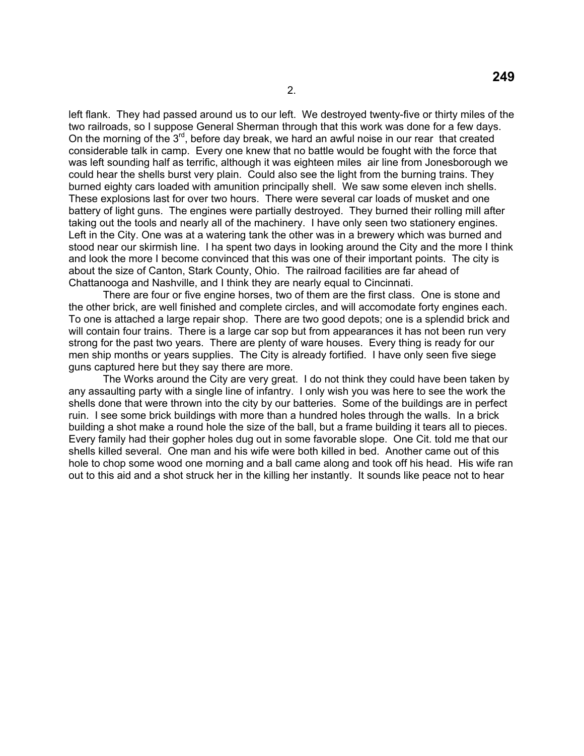left flank. They had passed around us to our left. We destroyed twenty-five or thirty miles of the two railroads, so I suppose General Sherman through that this work was done for a few days. On the morning of the 3<sup>rd</sup>, before day break, we hard an awful noise in our rear that created considerable talk in camp. Every one knew that no battle would be fought with the force that was left sounding half as terrific, although it was eighteen miles air line from Jonesborough we could hear the shells burst very plain. Could also see the light from the burning trains. They burned eighty cars loaded with amunition principally shell. We saw some eleven inch shells. These explosions last for over two hours. There were several car loads of musket and one battery of light guns. The engines were partially destroyed. They burned their rolling mill after taking out the tools and nearly all of the machinery. I have only seen two stationery engines. Left in the City. One was at a watering tank the other was in a brewery which was burned and stood near our skirmish line. I ha spent two days in looking around the City and the more I think and look the more I become convinced that this was one of their important points. The city is about the size of Canton, Stark County, Ohio. The railroad facilities are far ahead of Chattanooga and Nashville, and I think they are nearly equal to Cincinnati.

 There are four or five engine horses, two of them are the first class. One is stone and the other brick, are well finished and complete circles, and will accomodate forty engines each. To one is attached a large repair shop. There are two good depots; one is a splendid brick and will contain four trains. There is a large car sop but from appearances it has not been run very strong for the past two years. There are plenty of ware houses. Every thing is ready for our men ship months or years supplies. The City is already fortified. I have only seen five siege guns captured here but they say there are more.

 The Works around the City are very great. I do not think they could have been taken by any assaulting party with a single line of infantry. I only wish you was here to see the work the shells done that were thrown into the city by our batteries. Some of the buildings are in perfect ruin. I see some brick buildings with more than a hundred holes through the walls. In a brick building a shot make a round hole the size of the ball, but a frame building it tears all to pieces. Every family had their gopher holes dug out in some favorable slope. One Cit. told me that our shells killed several. One man and his wife were both killed in bed. Another came out of this hole to chop some wood one morning and a ball came along and took off his head. His wife ran out to this aid and a shot struck her in the killing her instantly. It sounds like peace not to hear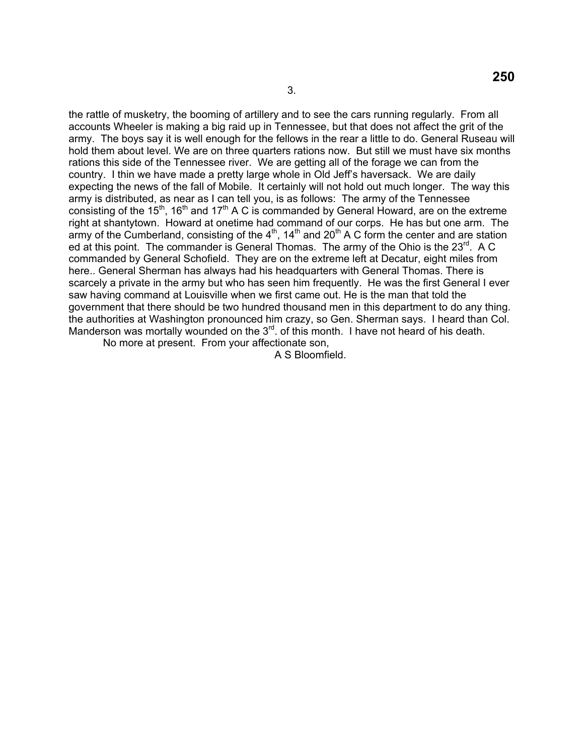the rattle of musketry, the booming of artillery and to see the cars running regularly. From all accounts Wheeler is making a big raid up in Tennessee, but that does not affect the grit of the army. The boys say it is well enough for the fellows in the rear a little to do. General Ruseau will hold them about level. We are on three quarters rations now. But still we must have six months rations this side of the Tennessee river. We are getting all of the forage we can from the country. I thin we have made a pretty large whole in Old Jeff's haversack. We are daily expecting the news of the fall of Mobile. It certainly will not hold out much longer. The way this army is distributed, as near as I can tell you, is as follows: The army of the Tennessee consisting of the 15<sup>th</sup>, 16<sup>th</sup> and 17<sup>th</sup> A C is commanded by General Howard, are on the extreme right at shantytown. Howard at onetime had command of our corps. He has but one arm. The army of the Cumberland, consisting of the  $4<sup>th</sup>$ , 14<sup>th</sup> and 20<sup>th</sup> A C form the center and are station ed at this point. The commander is General Thomas. The army of the Ohio is the 23<sup>rd</sup>. A C commanded by General Schofield. They are on the extreme left at Decatur, eight miles from here.. General Sherman has always had his headquarters with General Thomas. There is scarcely a private in the army but who has seen him frequently. He was the first General I ever saw having command at Louisville when we first came out. He is the man that told the government that there should be two hundred thousand men in this department to do any thing. the authorities at Washington pronounced him crazy, so Gen. Sherman says. I heard than Col. Manderson was mortally wounded on the 3<sup>rd</sup>. of this month. I have not heard of his death. No more at present. From your affectionate son,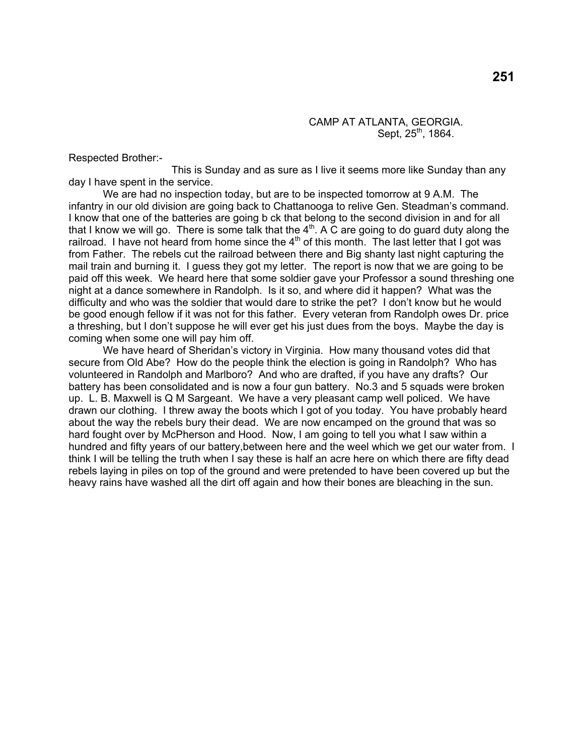### CAMP AT ATLANTA, GEORGIA. Sept,  $25^{th}$ , 1864.

Respected Brother:-

 This is Sunday and as sure as I live it seems more like Sunday than any day I have spent in the service.

 We are had no inspection today, but are to be inspected tomorrow at 9 A.M. The infantry in our old division are going back to Chattanooga to relive Gen. Steadman's command. I know that one of the batteries are going b ck that belong to the second division in and for all that I know we will go. There is some talk that the  $4<sup>th</sup>$ . A  $\tilde{C}$  are going to do guard duty along the railroad. I have not heard from home since the  $4<sup>th</sup>$  of this month. The last letter that I got was from Father. The rebels cut the railroad between there and Big shanty last night capturing the mail train and burning it. I guess they got my letter. The report is now that we are going to be paid off this week. We heard here that some soldier gave your Professor a sound threshing one night at a dance somewhere in Randolph. Is it so, and where did it happen? What was the difficulty and who was the soldier that would dare to strike the pet? I don't know but he would be good enough fellow if it was not for this father. Every veteran from Randolph owes Dr. price a threshing, but I don't suppose he will ever get his just dues from the boys. Maybe the day is coming when some one will pay him off.

 We have heard of Sheridan's victory in Virginia. How many thousand votes did that secure from Old Abe? How do the people think the election is going in Randolph? Who has volunteered in Randolph and Marlboro? And who are drafted, if you have any drafts? Our battery has been consolidated and is now a four gun battery. No.3 and 5 squads were broken up. L. B. Maxwell is Q M Sargeant. We have a very pleasant camp well policed. We have drawn our clothing. I threw away the boots which I got of you today. You have probably heard about the way the rebels bury their dead. We are now encamped on the ground that was so hard fought over by McPherson and Hood. Now, I am going to tell you what I saw within a hundred and fifty years of our battery, between here and the weel which we get our water from. I think I will be telling the truth when I say these is half an acre here on which there are fifty dead rebels laying in piles on top of the ground and were pretended to have been covered up but the heavy rains have washed all the dirt off again and how their bones are bleaching in the sun.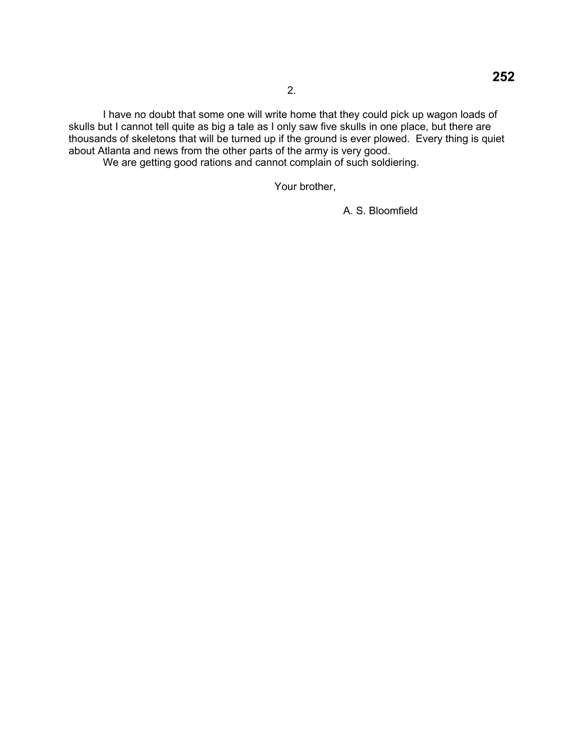I have no doubt that some one will write home that they could pick up wagon loads of skulls but I cannot tell quite as big a tale as I only saw five skulls in one place, but there are thousands of skeletons that will be turned up if the ground is ever plowed. Every thing is quiet about Atlanta and news from the other parts of the army is very good.

We are getting good rations and cannot complain of such soldiering.

Your brother,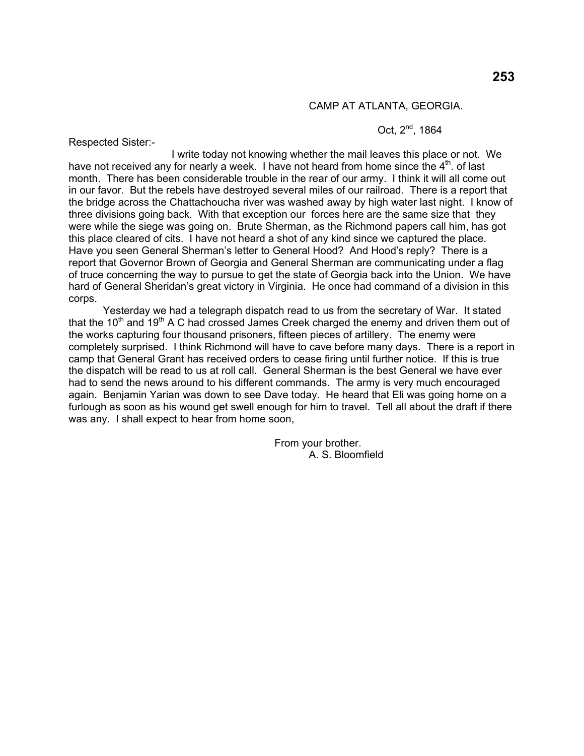# **253**

#### CAMP AT ATLANTA, GEORGIA.

### Oct. 2<sup>nd</sup>, 1864

Respected Sister:-

 I write today not knowing whether the mail leaves this place or not. We have not received any for nearly a week. I have not heard from home since the  $4<sup>th</sup>$ . of last month. There has been considerable trouble in the rear of our army. I think it will all come out in our favor. But the rebels have destroyed several miles of our railroad. There is a report that the bridge across the Chattachoucha river was washed away by high water last night. I know of three divisions going back. With that exception our forces here are the same size that they were while the siege was going on. Brute Sherman, as the Richmond papers call him, has got this place cleared of cits. I have not heard a shot of any kind since we captured the place. Have you seen General Sherman's letter to General Hood? And Hood's reply? There is a report that Governor Brown of Georgia and General Sherman are communicating under a flag of truce concerning the way to pursue to get the state of Georgia back into the Union. We have hard of General Sheridan's great victory in Virginia. He once had command of a division in this corps.

 Yesterday we had a telegraph dispatch read to us from the secretary of War. It stated that the 10<sup>th</sup> and 19<sup>th</sup> A C had crossed James Creek charged the enemy and driven them out of the works capturing four thousand prisoners, fifteen pieces of artillery. The enemy were completely surprised. I think Richmond will have to cave before many days. There is a report in camp that General Grant has received orders to cease firing until further notice. If this is true the dispatch will be read to us at roll call. General Sherman is the best General we have ever had to send the news around to his different commands. The army is very much encouraged again. Benjamin Yarian was down to see Dave today. He heard that Eli was going home on a furlough as soon as his wound get swell enough for him to travel. Tell all about the draft if there was any. I shall expect to hear from home soon,

> From your brother. A. S. Bloomfield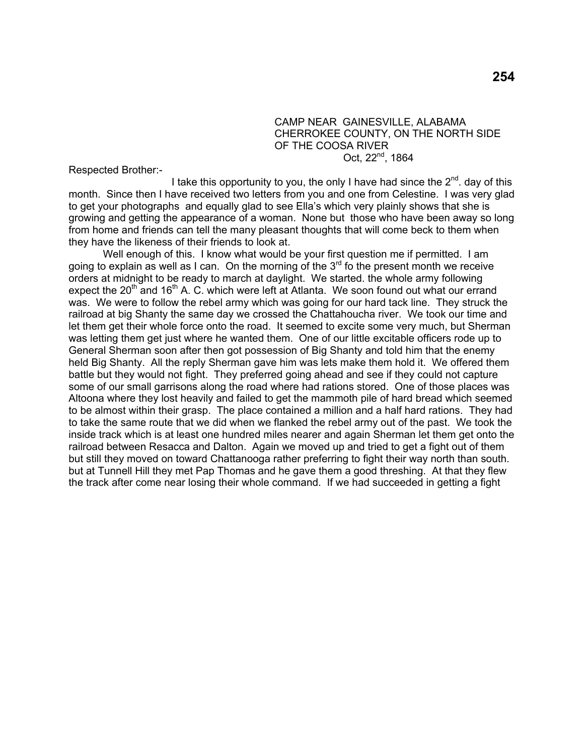#### CAMP NEAR GAINESVILLE, ALABAMA CHERROKEE COUNTY, ON THE NORTH SIDE OF THE COOSA RIVER Oct, 22<sup>nd</sup>, 1864

Respected Brother:-

I take this opportunity to you, the only I have had since the  $2^{nd}$ . day of this month. Since then I have received two letters from you and one from Celestine. I was very glad to get your photographs and equally glad to see Ella's which very plainly shows that she is growing and getting the appearance of a woman. None but those who have been away so long from home and friends can tell the many pleasant thoughts that will come beck to them when they have the likeness of their friends to look at.

Well enough of this. I know what would be your first question me if permitted. I am going to explain as well as I can. On the morning of the  $3<sup>rd</sup>$  fo the present month we receive orders at midnight to be ready to march at daylight. We started. the whole army following expect the 20<sup>th</sup> and 16<sup>th</sup> A. C. which were left at Atlanta. We soon found out what our errand was. We were to follow the rebel army which was going for our hard tack line. They struck the railroad at big Shanty the same day we crossed the Chattahoucha river. We took our time and let them get their whole force onto the road. It seemed to excite some very much, but Sherman was letting them get just where he wanted them. One of our little excitable officers rode up to General Sherman soon after then got possession of Big Shanty and told him that the enemy held Big Shanty. All the reply Sherman gave him was lets make them hold it. We offered them battle but they would not fight. They preferred going ahead and see if they could not capture some of our small garrisons along the road where had rations stored. One of those places was Altoona where they lost heavily and failed to get the mammoth pile of hard bread which seemed to be almost within their grasp. The place contained a million and a half hard rations. They had to take the same route that we did when we flanked the rebel army out of the past. We took the inside track which is at least one hundred miles nearer and again Sherman let them get onto the railroad between Resacca and Dalton. Again we moved up and tried to get a fight out of them but still they moved on toward Chattanooga rather preferring to fight their way north than south. but at Tunnell Hill they met Pap Thomas and he gave them a good threshing. At that they flew the track after come near losing their whole command. If we had succeeded in getting a fight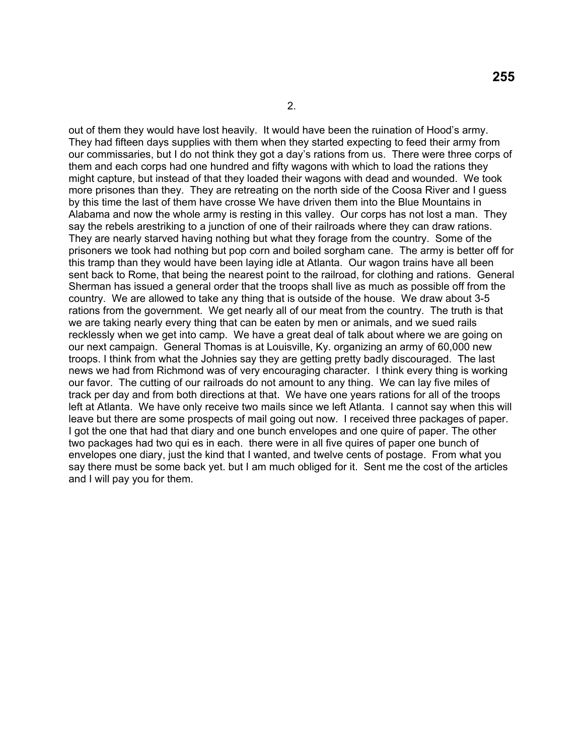out of them they would have lost heavily. It would have been the ruination of Hood's army. They had fifteen days supplies with them when they started expecting to feed their army from our commissaries, but I do not think they got a day's rations from us. There were three corps of them and each corps had one hundred and fifty wagons with which to load the rations they might capture, but instead of that they loaded their wagons with dead and wounded. We took more prisones than they. They are retreating on the north side of the Coosa River and I guess by this time the last of them have crosse We have driven them into the Blue Mountains in Alabama and now the whole army is resting in this valley. Our corps has not lost a man. They say the rebels arestriking to a junction of one of their railroads where they can draw rations. They are nearly starved having nothing but what they forage from the country. Some of the prisoners we took had nothing but pop corn and boiled sorgham cane. The army is better off for this tramp than they would have been laying idle at Atlanta. Our wagon trains have all been sent back to Rome, that being the nearest point to the railroad, for clothing and rations. General Sherman has issued a general order that the troops shall live as much as possible off from the country. We are allowed to take any thing that is outside of the house. We draw about 3-5 rations from the government. We get nearly all of our meat from the country. The truth is that we are taking nearly every thing that can be eaten by men or animals, and we sued rails recklessly when we get into camp. We have a great deal of talk about where we are going on our next campaign. General Thomas is at Louisville, Ky. organizing an army of 60,000 new troops. I think from what the Johnies say they are getting pretty badly discouraged. The last news we had from Richmond was of very encouraging character. I think every thing is working our favor. The cutting of our railroads do not amount to any thing. We can lay five miles of track per day and from both directions at that. We have one years rations for all of the troops left at Atlanta. We have only receive two mails since we left Atlanta. I cannot say when this will leave but there are some prospects of mail going out now. I received three packages of paper. I got the one that had that diary and one bunch envelopes and one quire of paper. The other two packages had two qui es in each. there were in all five quires of paper one bunch of envelopes one diary, just the kind that I wanted, and twelve cents of postage. From what you say there must be some back yet. but I am much obliged for it. Sent me the cost of the articles and I will pay you for them.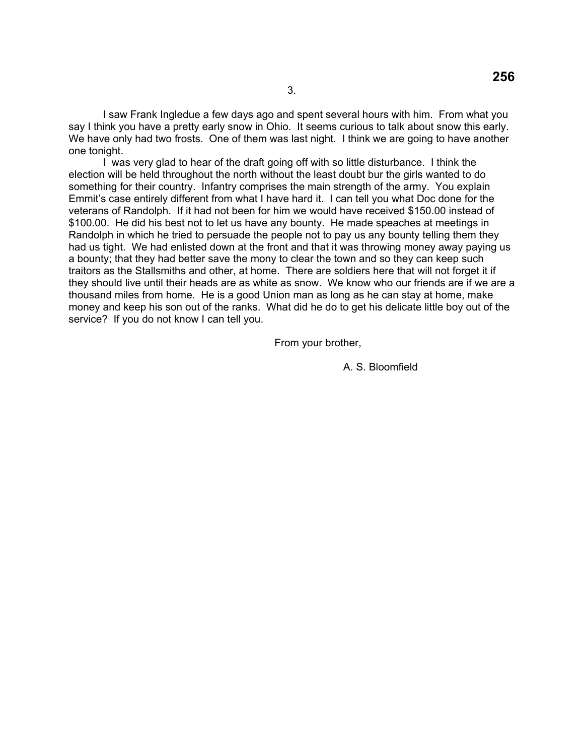I saw Frank Ingledue a few days ago and spent several hours with him. From what you say I think you have a pretty early snow in Ohio. It seems curious to talk about snow this early. We have only had two frosts. One of them was last night. I think we are going to have another one tonight.

 I was very glad to hear of the draft going off with so little disturbance. I think the election will be held throughout the north without the least doubt bur the girls wanted to do something for their country. Infantry comprises the main strength of the army. You explain Emmit's case entirely different from what I have hard it. I can tell you what Doc done for the veterans of Randolph. If it had not been for him we would have received \$150.00 instead of \$100.00. He did his best not to let us have any bounty. He made speaches at meetings in Randolph in which he tried to persuade the people not to pay us any bounty telling them they had us tight. We had enlisted down at the front and that it was throwing money away paying us a bounty; that they had better save the mony to clear the town and so they can keep such traitors as the Stallsmiths and other, at home. There are soldiers here that will not forget it if they should live until their heads are as white as snow. We know who our friends are if we are a thousand miles from home. He is a good Union man as long as he can stay at home, make money and keep his son out of the ranks. What did he do to get his delicate little boy out of the service? If you do not know I can tell you.

From your brother,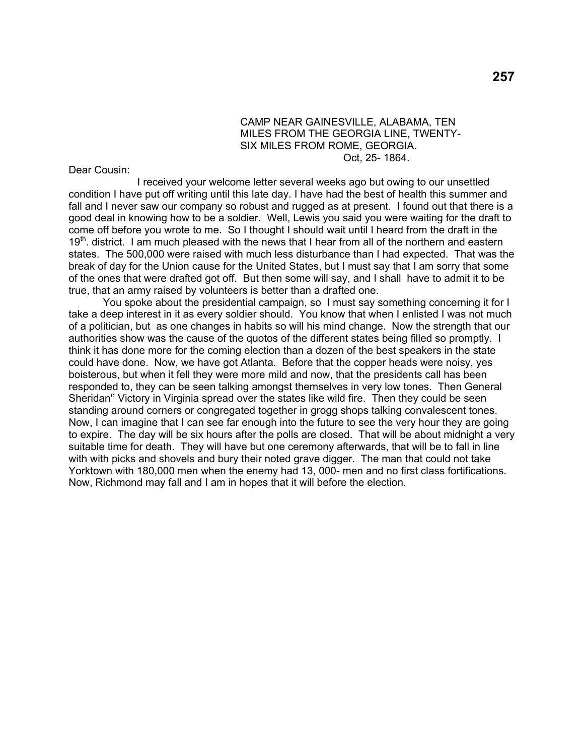#### CAMP NEAR GAINESVILLE, ALABAMA, TEN MILES FROM THE GEORGIA LINE, TWENTY- SIX MILES FROM ROME, GEORGIA. Oct, 25- 1864.

Dear Cousin:

 I received your welcome letter several weeks ago but owing to our unsettled condition I have put off writing until this late day. I have had the best of health this summer and fall and I never saw our company so robust and rugged as at present. I found out that there is a good deal in knowing how to be a soldier. Well, Lewis you said you were waiting for the draft to come off before you wrote to me. So I thought I should wait until I heard from the draft in the  $19<sup>th</sup>$ . district. I am much pleased with the news that I hear from all of the northern and eastern states. The 500,000 were raised with much less disturbance than I had expected. That was the break of day for the Union cause for the United States, but I must say that I am sorry that some of the ones that were drafted got off. But then some will say, and I shall have to admit it to be true, that an army raised by volunteers is better than a drafted one.

You spoke about the presidential campaign, so I must say something concerning it for I take a deep interest in it as every soldier should. You know that when I enlisted I was not much of a politician, but as one changes in habits so will his mind change. Now the strength that our authorities show was the cause of the quotos of the different states being filled so promptly. I think it has done more for the coming election than a dozen of the best speakers in the state could have done. Now, we have got Atlanta. Before that the copper heads were noisy, yes boisterous, but when it fell they were more mild and now, that the presidents call has been responded to, they can be seen talking amongst themselves in very low tones. Then General Sheridan'' Victory in Virginia spread over the states like wild fire. Then they could be seen standing around corners or congregated together in grogg shops talking convalescent tones. Now, I can imagine that I can see far enough into the future to see the very hour they are going to expire. The day will be six hours after the polls are closed. That will be about midnight a very suitable time for death. They will have but one ceremony afterwards, that will be to fall in line with with picks and shovels and bury their noted grave digger. The man that could not take Yorktown with 180,000 men when the enemy had 13, 000- men and no first class fortifications. Now, Richmond may fall and I am in hopes that it will before the election.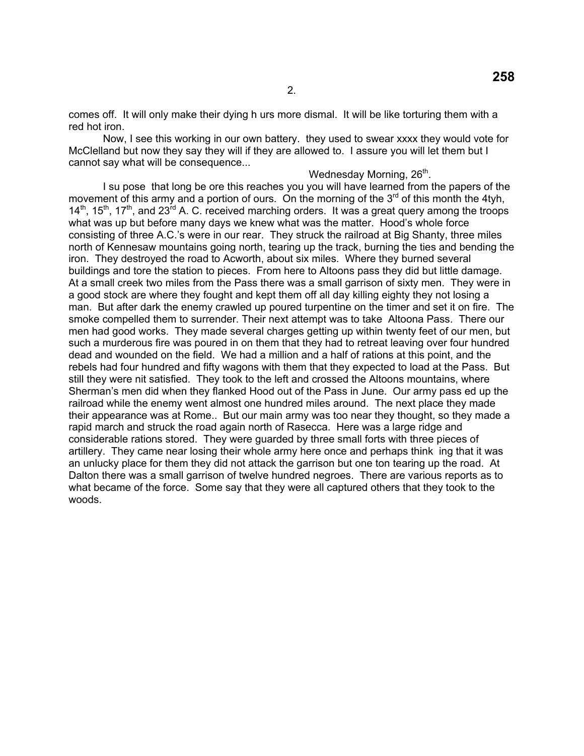comes off. It will only make their dying h urs more dismal. It will be like torturing them with a red hot iron.

 Now, I see this working in our own battery. they used to swear xxxx they would vote for McClelland but now they say they will if they are allowed to. I assure you will let them but I cannot say what will be consequence...

Wednesday Morning, 26<sup>th</sup>.

 I su pose that long be ore this reaches you you will have learned from the papers of the movement of this army and a portion of ours. On the morning of the  $3<sup>rd</sup>$  of this month the 4tyh,  $14<sup>th</sup>$ ,  $15<sup>th</sup>$ ,  $17<sup>th</sup>$ , and  $23<sup>rd</sup>$  A. C. received marching orders. It was a great query among the troops what was up but before many days we knew what was the matter. Hood's whole force consisting of three A.C.'s were in our rear. They struck the railroad at Big Shanty, three miles north of Kennesaw mountains going north, tearing up the track, burning the ties and bending the iron. They destroyed the road to Acworth, about six miles. Where they burned several buildings and tore the station to pieces. From here to Altoons pass they did but little damage. At a small creek two miles from the Pass there was a small garrison of sixty men. They were in a good stock are where they fought and kept them off all day killing eighty they not losing a man. But after dark the enemy crawled up poured turpentine on the timer and set it on fire. The smoke compelled them to surrender. Their next attempt was to take Altoona Pass. There our men had good works. They made several charges getting up within twenty feet of our men, but such a murderous fire was poured in on them that they had to retreat leaving over four hundred dead and wounded on the field. We had a million and a half of rations at this point, and the rebels had four hundred and fifty wagons with them that they expected to load at the Pass. But still they were nit satisfied. They took to the left and crossed the Altoons mountains, where Sherman's men did when they flanked Hood out of the Pass in June. Our army pass ed up the railroad while the enemy went almost one hundred miles around. The next place they made their appearance was at Rome.. But our main army was too near they thought, so they made a rapid march and struck the road again north of Rasecca. Here was a large ridge and considerable rations stored. They were guarded by three small forts with three pieces of artillery. They came near losing their whole army here once and perhaps think ing that it was an unlucky place for them they did not attack the garrison but one ton tearing up the road. At Dalton there was a small garrison of twelve hundred negroes. There are various reports as to what became of the force. Some say that they were all captured others that they took to the woods.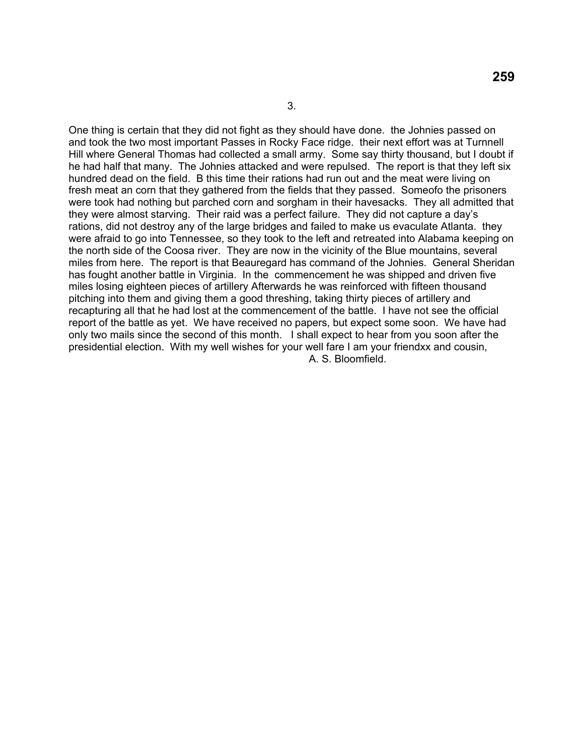One thing is certain that they did not fight as they should have done. the Johnies passed on and took the two most important Passes in Rocky Face ridge. their next effort was at Turnnell Hill where General Thomas had collected a small army. Some say thirty thousand, but I doubt if he had half that many. The Johnies attacked and were repulsed. The report is that they left six hundred dead on the field. B this time their rations had run out and the meat were living on fresh meat an corn that they gathered from the fields that they passed. Someofo the prisoners were took had nothing but parched corn and sorgham in their havesacks. They all admitted that they were almost starving. Their raid was a perfect failure. They did not capture a day's rations, did not destroy any of the large bridges and failed to make us evaculate Atlanta. they were afraid to go into Tennessee, so they took to the left and retreated into Alabama keeping on the north side of the Coosa river. They are now in the vicinity of the Blue mountains, several miles from here. The report is that Beauregard has command of the Johnies. General Sheridan has fought another battle in Virginia. In the commencement he was shipped and driven five miles losing eighteen pieces of artillery Afterwards he was reinforced with fifteen thousand pitching into them and giving them a good threshing, taking thirty pieces of artillery and recapturing all that he had lost at the commencement of the battle. I have not see the official report of the battle as yet. We have received no papers, but expect some soon. We have had only two mails since the second of this month. I shall expect to hear from you soon after the presidential election. With my well wishes for your well fare I am your friendxx and cousin, A. S. Bloomfield.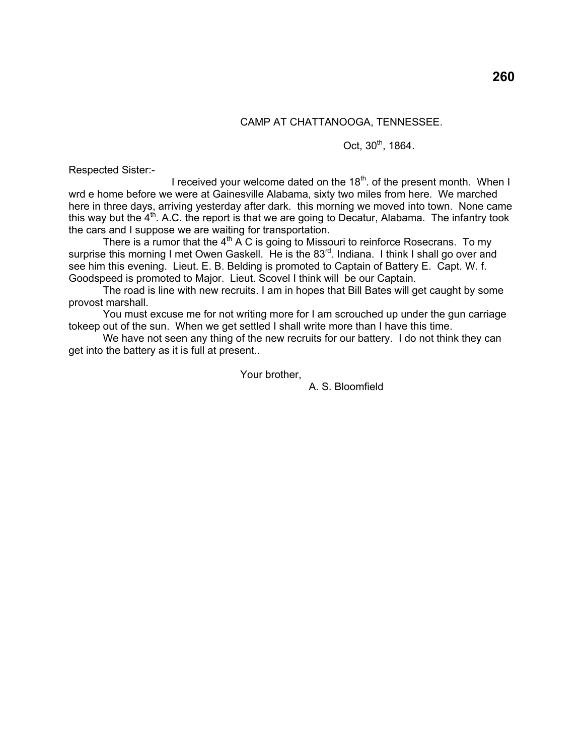## CAMP AT CHATTANOOGA, TENNESSEE.

### Oct,  $30^{th}$ , 1864.

Respected Sister:-

I received your welcome dated on the  $18<sup>th</sup>$ . of the present month. When I wrd e home before we were at Gainesville Alabama, sixty two miles from here. We marched here in three days, arriving yesterday after dark. this morning we moved into town. None came this way but the  $4<sup>th</sup>$ . A.C. the report is that we are going to Decatur, Alabama. The infantry took the cars and I suppose we are waiting for transportation.

There is a rumor that the  $4<sup>th</sup>$  A C is going to Missouri to reinforce Rosecrans. To my surprise this morning I met Owen Gaskell. He is the 83<sup>rd</sup>. Indiana. I think I shall go over and see him this evening. Lieut. E. B. Belding is promoted to Captain of Battery E. Capt. W. f. Goodspeed is promoted to Major. Lieut. Scovel I think will be our Captain.

 The road is line with new recruits. I am in hopes that Bill Bates will get caught by some provost marshall.

 You must excuse me for not writing more for I am scrouched up under the gun carriage tokeep out of the sun. When we get settled I shall write more than I have this time.

We have not seen any thing of the new recruits for our battery. I do not think they can get into the battery as it is full at present..

Your brother,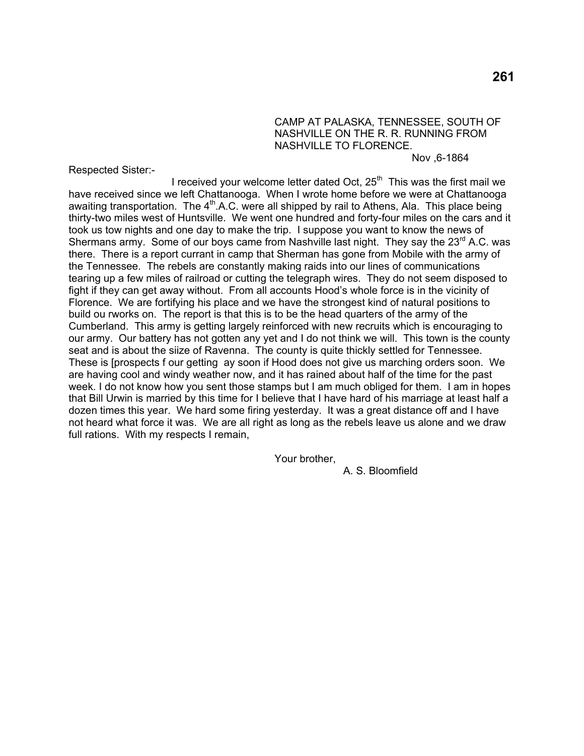### CAMP AT PALASKA, TENNESSEE, SOUTH OF NASHVILLE ON THE R. R. RUNNING FROM NASHVILLE TO FLORENCE.

Nov ,6-1864

Respected Sister:-

I received your welcome letter dated Oct,  $25<sup>th</sup>$  This was the first mail we have received since we left Chattanooga. When I wrote home before we were at Chattanooga awaiting transportation. The  $4<sup>th</sup>$ .A.C. were all shipped by rail to Athens, Ala. This place being thirty-two miles west of Huntsville. We went one hundred and forty-four miles on the cars and it took us tow nights and one day to make the trip. I suppose you want to know the news of Shermans army. Some of our boys came from Nashville last night. They say the 23<sup>rd</sup> A.C. was there. There is a report currant in camp that Sherman has gone from Mobile with the army of the Tennessee. The rebels are constantly making raids into our lines of communications tearing up a few miles of railroad or cutting the telegraph wires. They do not seem disposed to fight if they can get away without. From all accounts Hood's whole force is in the vicinity of Florence. We are fortifying his place and we have the strongest kind of natural positions to build ou rworks on. The report is that this is to be the head quarters of the army of the Cumberland. This army is getting largely reinforced with new recruits which is encouraging to our army. Our battery has not gotten any yet and I do not think we will. This town is the county seat and is about the siize of Ravenna. The county is quite thickly settled for Tennessee. These is [prospects f our getting ay soon if Hood does not give us marching orders soon. We are having cool and windy weather now, and it has rained about half of the time for the past week. I do not know how you sent those stamps but I am much obliged for them. I am in hopes that Bill Urwin is married by this time for I believe that I have hard of his marriage at least half a dozen times this year. We hard some firing yesterday. It was a great distance off and I have not heard what force it was. We are all right as long as the rebels leave us alone and we draw full rations. With my respects I remain,

Your brother,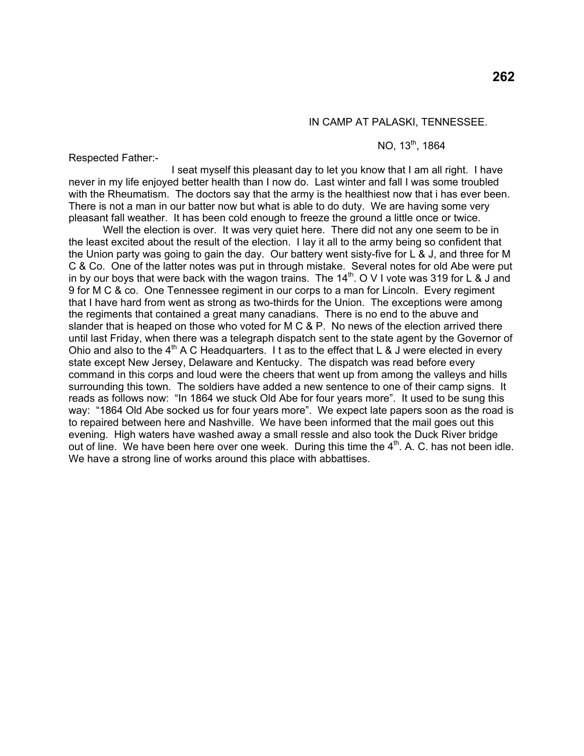#### IN CAMP AT PALASKI, TENNESSEE.

#### NO, 13<sup>th</sup>, 1864

Respected Father:-

 I seat myself this pleasant day to let you know that I am all right. I have never in my life enjoyed better health than I now do. Last winter and fall I was some troubled with the Rheumatism. The doctors say that the army is the healthiest now that i has ever been. There is not a man in our batter now but what is able to do duty. We are having some very pleasant fall weather. It has been cold enough to freeze the ground a little once or twice.

Well the election is over. It was very quiet here. There did not any one seem to be in the least excited about the result of the election. I lay it all to the army being so confident that the Union party was going to gain the day. Our battery went sisty-five for L & J, and three for M C & Co. One of the latter notes was put in through mistake. Several notes for old Abe were put in by our boys that were back with the wagon trains. The  $14<sup>th</sup>$ . O V I vote was 319 for L & J and 9 for M C & co. One Tennessee regiment in our corps to a man for Lincoln. Every regiment that I have hard from went as strong as two-thirds for the Union. The exceptions were among the regiments that contained a great many canadians. There is no end to the abuve and slander that is heaped on those who voted for M C & P. No news of the election arrived there until last Friday, when there was a telegraph dispatch sent to the state agent by the Governor of Ohio and also to the  $4<sup>th</sup>$  A C Headquarters. It as to the effect that L & J were elected in every state except New Jersey, Delaware and Kentucky. The dispatch was read before every command in this corps and loud were the cheers that went up from among the valleys and hills surrounding this town. The soldiers have added a new sentence to one of their camp signs. It reads as follows now: "In 1864 we stuck Old Abe for four years more". It used to be sung this way: "1864 Old Abe socked us for four years more". We expect late papers soon as the road is to repaired between here and Nashville. We have been informed that the mail goes out this evening. High waters have washed away a small ressle and also took the Duck River bridge out of line. We have been here over one week. During this time the  $4<sup>th</sup>$ . A. C. has not been idle. We have a strong line of works around this place with abbattises.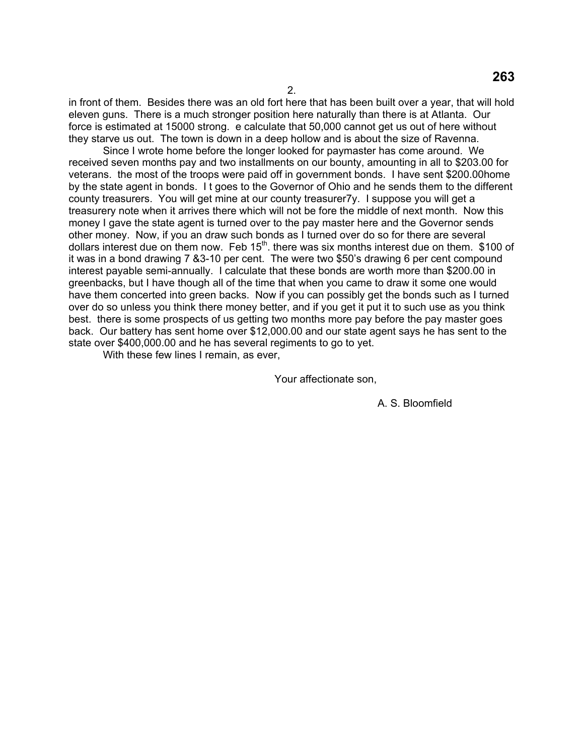in front of them. Besides there was an old fort here that has been built over a year, that will hold eleven guns. There is a much stronger position here naturally than there is at Atlanta. Our force is estimated at 15000 strong. e calculate that 50,000 cannot get us out of here without they starve us out. The town is down in a deep hollow and is about the size of Ravenna.

 Since I wrote home before the longer looked for paymaster has come around. We received seven months pay and two installments on our bounty, amounting in all to \$203.00 for veterans. the most of the troops were paid off in government bonds. I have sent \$200.00home by the state agent in bonds. I t goes to the Governor of Ohio and he sends them to the different county treasurers. You will get mine at our county treasurer7y. I suppose you will get a treasurery note when it arrives there which will not be fore the middle of next month. Now this money I gave the state agent is turned over to the pay master here and the Governor sends other money. Now, if you an draw such bonds as I turned over do so for there are several dollars interest due on them now. Feb 15<sup>th</sup>. there was six months interest due on them. \$100 of it was in a bond drawing 7 &3-10 per cent. The were two \$50's drawing 6 per cent compound interest payable semi-annually. I calculate that these bonds are worth more than \$200.00 in greenbacks, but I have though all of the time that when you came to draw it some one would have them concerted into green backs. Now if you can possibly get the bonds such as I turned over do so unless you think there money better, and if you get it put it to such use as you think best. there is some prospects of us getting two months more pay before the pay master goes back. Our battery has sent home over \$12,000.00 and our state agent says he has sent to the state over \$400,000.00 and he has several regiments to go to yet.

With these few lines I remain, as ever,

Your affectionate son,

A. S. Bloomfield

**263**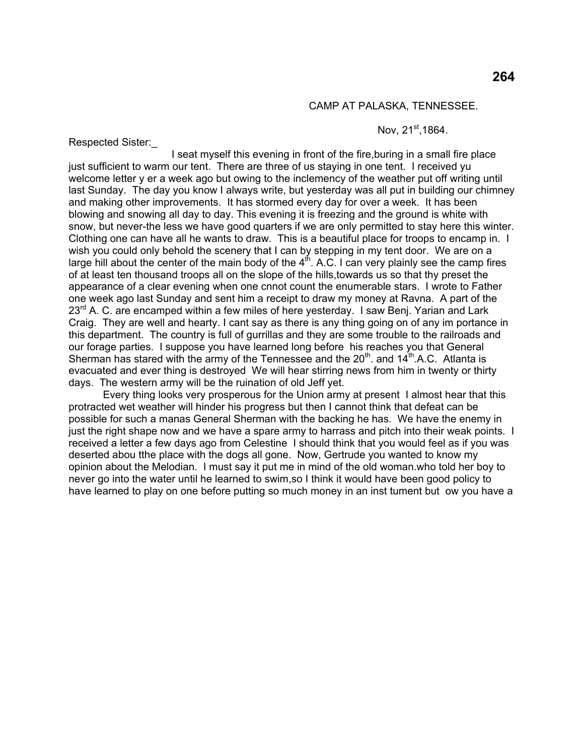#### CAMP AT PALASKA, TENNESSEE.

#### Nov. 21<sup>st</sup>,1864.

Respected Sister:\_

 I seat myself this evening in front of the fire,buring in a small fire place just sufficient to warm our tent. There are three of us staying in one tent. I received yu welcome letter y er a week ago but owing to the inclemency of the weather put off writing until last Sunday. The day you know I always write, but yesterday was all put in building our chimney and making other improvements. It has stormed every day for over a week. It has been blowing and snowing all day to day. This evening it is freezing and the ground is white with snow, but never-the less we have good quarters if we are only permitted to stay here this winter. Clothing one can have all he wants to draw. This is a beautiful place for troops to encamp in. I wish you could only behold the scenery that I can by stepping in my tent door. We are on a large hill about the center of the main body of the  $4<sup>th</sup>$ . A.C. I can very plainly see the camp fires of at least ten thousand troops all on the slope of the hills,towards us so that thy preset the appearance of a clear evening when one cnnot count the enumerable stars. I wrote to Father one week ago last Sunday and sent him a receipt to draw my money at Ravna. A part of the 23<sup>rd</sup> A. C. are encamped within a few miles of here yesterday. I saw Benj. Yarian and Lark Craig. They are well and hearty. I cant say as there is any thing going on of any im portance in this department. The country is full of gurrillas and they are some trouble to the railroads and our forage parties. I suppose you have learned long before his reaches you that General Sherman has stared with the army of the Tennessee and the  $20<sup>th</sup>$  and  $14<sup>th</sup>$  A.C. Atlanta is evacuated and ever thing is destroyed We will hear stirring news from him in twenty or thirty days. The western army will be the ruination of old Jeff yet.

 Every thing looks very prosperous for the Union army at present I almost hear that this protracted wet weather will hinder his progress but then I cannot think that defeat can be possible for such a manas General Sherman with the backing he has. We have the enemy in just the right shape now and we have a spare army to harrass and pitch into their weak points. I received a letter a few days ago from Celestine I should think that you would feel as if you was deserted abou tthe place with the dogs all gone. Now, Gertrude you wanted to know my opinion about the Melodian. I must say it put me in mind of the old woman.who told her boy to never go into the water until he learned to swim,so I think it would have been good policy to have learned to play on one before putting so much money in an inst tument but ow you have a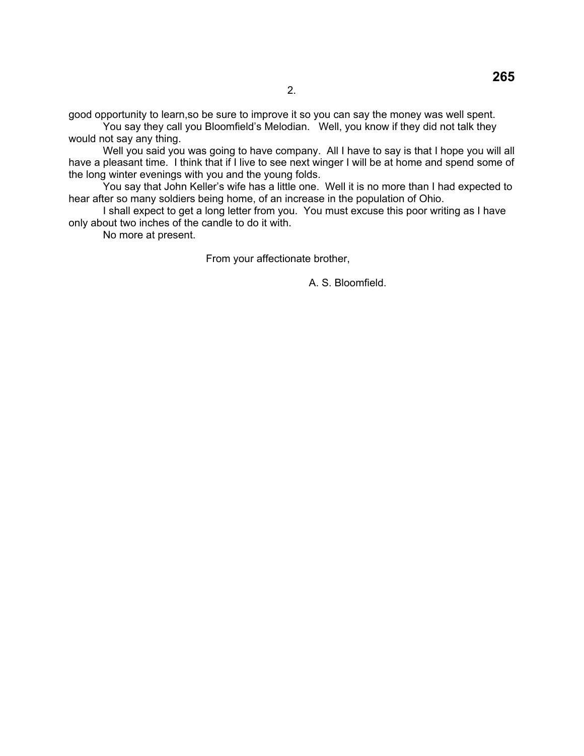good opportunity to learn,so be sure to improve it so you can say the money was well spent.

 You say they call you Bloomfield's Melodian. Well, you know if they did not talk they would not say any thing.

 Well you said you was going to have company. All I have to say is that I hope you will all have a pleasant time. I think that if I live to see next winger I will be at home and spend some of the long winter evenings with you and the young folds.

 You say that John Keller's wife has a little one. Well it is no more than I had expected to hear after so many soldiers being home, of an increase in the population of Ohio.

 I shall expect to get a long letter from you. You must excuse this poor writing as I have only about two inches of the candle to do it with.

No more at present.

From your affectionate brother,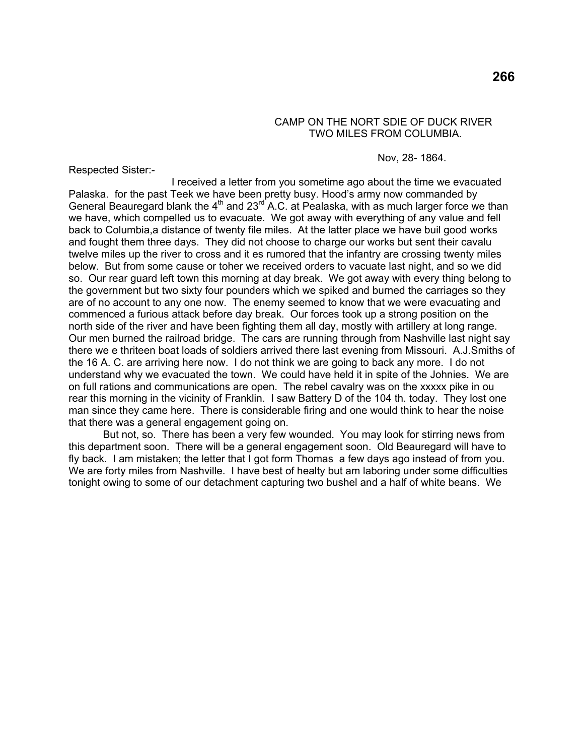## CAMP ON THE NORT SDIE OF DUCK RIVER TWO MILES FROM COLUMBIA.

#### Nov, 28- 1864.

Respected Sister:-

 I received a letter from you sometime ago about the time we evacuated Palaska. for the past Teek we have been pretty busy. Hood's army now commanded by General Beauregard blank the  $4<sup>th</sup>$  and  $23<sup>rd</sup>$  A.C. at Pealaska, with as much larger force we than we have, which compelled us to evacuate. We got away with everything of any value and fell back to Columbia,a distance of twenty file miles. At the latter place we have buil good works and fought them three days. They did not choose to charge our works but sent their cavalu twelve miles up the river to cross and it es rumored that the infantry are crossing twenty miles below. But from some cause or toher we received orders to vacuate last night, and so we did so. Our rear guard left town this morning at day break. We got away with every thing belong to the government but two sixty four pounders which we spiked and burned the carriages so they are of no account to any one now. The enemy seemed to know that we were evacuating and commenced a furious attack before day break. Our forces took up a strong position on the north side of the river and have been fighting them all day, mostly with artillery at long range. Our men burned the railroad bridge. The cars are running through from Nashville last night say there we e thriteen boat loads of soldiers arrived there last evening from Missouri. A.J.Smiths of the 16 A. C. are arriving here now. I do not think we are going to back any more. I do not understand why we evacuated the town. We could have held it in spite of the Johnies. We are on full rations and communications are open. The rebel cavalry was on the xxxxx pike in ou rear this morning in the vicinity of Franklin. I saw Battery D of the 104 th. today. They lost one man since they came here. There is considerable firing and one would think to hear the noise that there was a general engagement going on.

 But not, so. There has been a very few wounded. You may look for stirring news from this department soon. There will be a general engagement soon. Old Beauregard will have to fly back. I am mistaken; the letter that I got form Thomas a few days ago instead of from you. We are forty miles from Nashville. I have best of healty but am laboring under some difficulties tonight owing to some of our detachment capturing two bushel and a half of white beans. We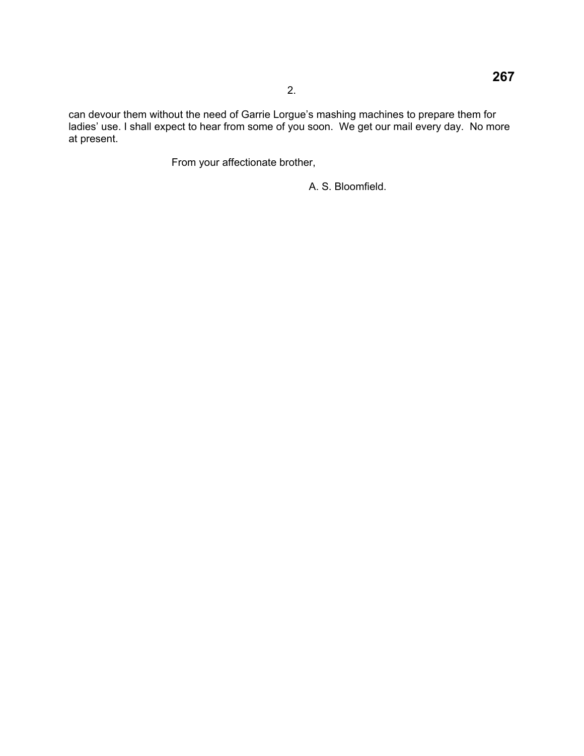can devour them without the need of Garrie Lorgue's mashing machines to prepare them for ladies' use. I shall expect to hear from some of you soon. We get our mail every day. No more at present.

From your affectionate brother,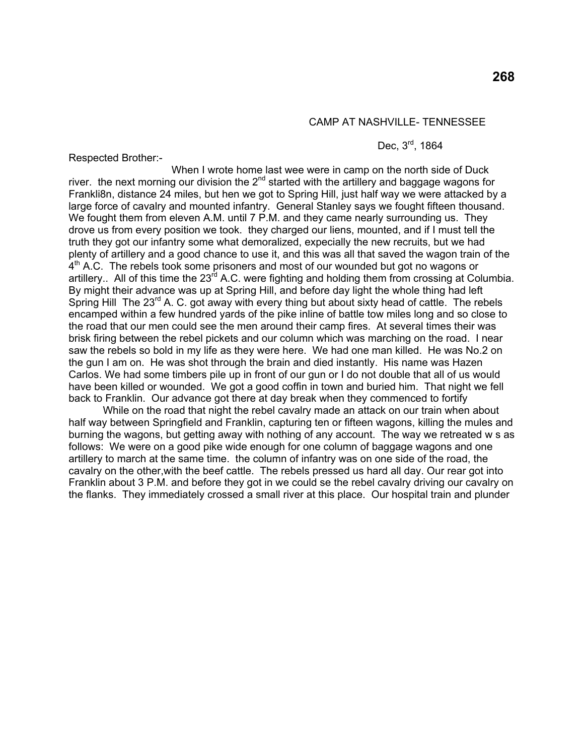#### CAMP AT NASHVILLE- TENNESSEE

Dec, 3<sup>rd</sup>, 1864

Respected Brother:-

 When I wrote home last wee were in camp on the north side of Duck river. the next morning our division the  $2<sup>nd</sup>$  started with the artillery and baggage wagons for Frankli8n, distance 24 miles, but hen we got to Spring Hill, just half way we were attacked by a large force of cavalry and mounted infantry. General Stanley says we fought fifteen thousand. We fought them from eleven A.M. until 7 P.M. and they came nearly surrounding us. They drove us from every position we took. they charged our liens, mounted, and if I must tell the truth they got our infantry some what demoralized, expecially the new recruits, but we had plenty of artillery and a good chance to use it, and this was all that saved the wagon train of the  $4<sup>th</sup>$  A.C. The rebels took some prisoners and most of our wounded but got no wagons or artillery.. All of this time the  $23<sup>rd</sup>$  A.C. were fighting and holding them from crossing at Columbia. By might their advance was up at Spring Hill, and before day light the whole thing had left Spring Hill The  $23^{\text{rd}}$  A. C. got away with every thing but about sixty head of cattle. The rebels encamped within a few hundred yards of the pike inline of battle tow miles long and so close to the road that our men could see the men around their camp fires. At several times their was brisk firing between the rebel pickets and our column which was marching on the road. I near saw the rebels so bold in my life as they were here. We had one man killed. He was No.2 on the gun I am on. He was shot through the brain and died instantly. His name was Hazen Carlos. We had some timbers pile up in front of our gun or I do not double that all of us would have been killed or wounded. We got a good coffin in town and buried him. That night we fell back to Franklin. Our advance got there at day break when they commenced to fortify

 While on the road that night the rebel cavalry made an attack on our train when about half way between Springfield and Franklin, capturing ten or fifteen wagons, killing the mules and burning the wagons, but getting away with nothing of any account. The way we retreated w s as follows: We were on a good pike wide enough for one column of baggage wagons and one artillery to march at the same time. the column of infantry was on one side of the road, the cavalry on the other,with the beef cattle. The rebels pressed us hard all day. Our rear got into Franklin about 3 P.M. and before they got in we could se the rebel cavalry driving our cavalry on the flanks. They immediately crossed a small river at this place. Our hospital train and plunder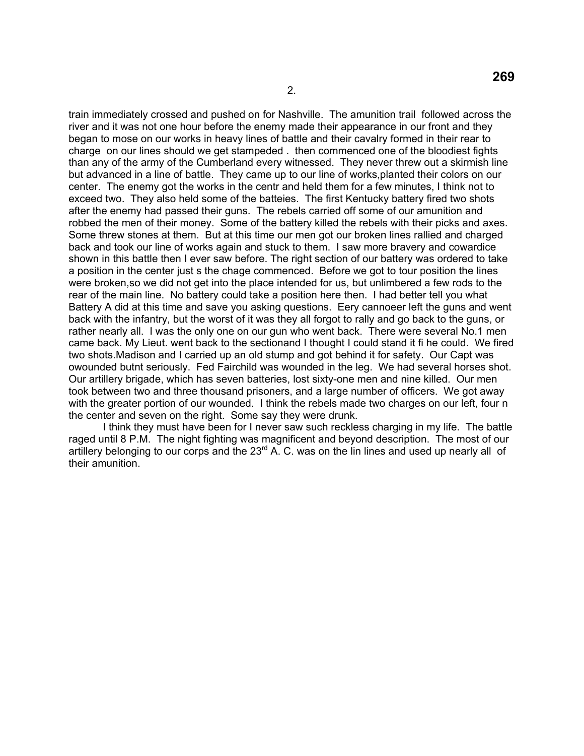train immediately crossed and pushed on for Nashville. The amunition trail followed across the river and it was not one hour before the enemy made their appearance in our front and they began to mose on our works in heavy lines of battle and their cavalry formed in their rear to charge on our lines should we get stampeded . then commenced one of the bloodiest fights than any of the army of the Cumberland every witnessed. They never threw out a skirmish line but advanced in a line of battle. They came up to our line of works,planted their colors on our center. The enemy got the works in the centr and held them for a few minutes, I think not to exceed two. They also held some of the batteies. The first Kentucky battery fired two shots after the enemy had passed their guns. The rebels carried off some of our amunition and robbed the men of their money. Some of the battery killed the rebels with their picks and axes. Some threw stones at them. But at this time our men got our broken lines rallied and charged back and took our line of works again and stuck to them. I saw more bravery and cowardice shown in this battle then I ever saw before. The right section of our battery was ordered to take a position in the center just s the chage commenced. Before we got to tour position the lines were broken,so we did not get into the place intended for us, but unlimbered a few rods to the rear of the main line. No battery could take a position here then. I had better tell you what Battery A did at this time and save you asking questions. Eery cannoeer left the guns and went back with the infantry, but the worst of it was they all forgot to rally and go back to the guns, or rather nearly all. I was the only one on our gun who went back. There were several No.1 men came back. My Lieut. went back to the sectionand I thought I could stand it fi he could. We fired two shots.Madison and I carried up an old stump and got behind it for safety. Our Capt was owounded butnt seriously. Fed Fairchild was wounded in the leg. We had several horses shot. Our artillery brigade, which has seven batteries, lost sixty-one men and nine killed. Our men took between two and three thousand prisoners, and a large number of officers. We got away with the greater portion of our wounded. I think the rebels made two charges on our left, four n the center and seven on the right. Some say they were drunk.

 I think they must have been for I never saw such reckless charging in my life. The battle raged until 8 P.M. The night fighting was magnificent and beyond description. The most of our artillery belonging to our corps and the  $23<sup>rd</sup>$  A. C. was on the lin lines and used up nearly all of their amunition.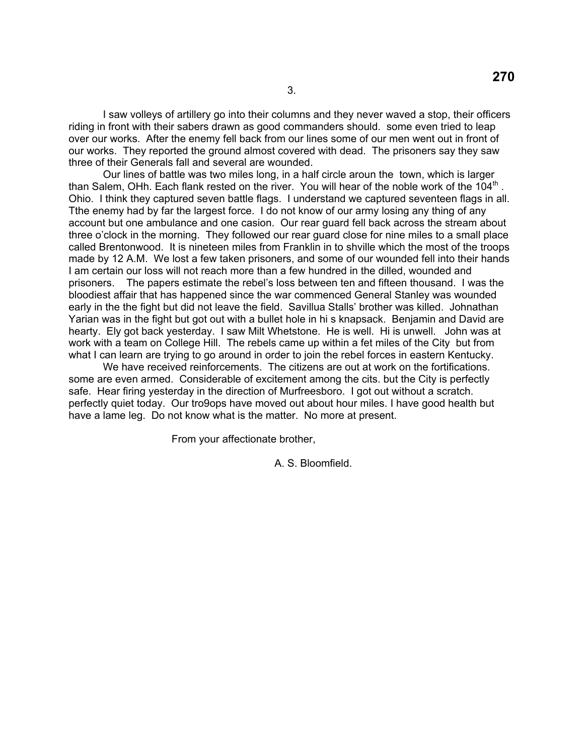I saw volleys of artillery go into their columns and they never waved a stop, their officers riding in front with their sabers drawn as good commanders should. some even tried to leap over our works. After the enemy fell back from our lines some of our men went out in front of our works. They reported the ground almost covered with dead. The prisoners say they saw three of their Generals fall and several are wounded.

 Our lines of battle was two miles long, in a half circle aroun the town, which is larger than Salem, OHh. Each flank rested on the river. You will hear of the noble work of the 104<sup>th</sup>. Ohio. I think they captured seven battle flags. I understand we captured seventeen flags in all. Tthe enemy had by far the largest force. I do not know of our army losing any thing of any account but one ambulance and one casion. Our rear guard fell back across the stream about three o'clock in the morning. They followed our rear guard close for nine miles to a small place called Brentonwood. It is nineteen miles from Franklin in to shville which the most of the troops made by 12 A.M. We lost a few taken prisoners, and some of our wounded fell into their hands I am certain our loss will not reach more than a few hundred in the dilled, wounded and prisoners. The papers estimate the rebel's loss between ten and fifteen thousand. I was the bloodiest affair that has happened since the war commenced General Stanley was wounded early in the the fight but did not leave the field. Savillua Stalls' brother was killed. Johnathan Yarian was in the fight but got out with a bullet hole in hi s knapsack. Benjamin and David are hearty. Ely got back yesterday. I saw Milt Whetstone. He is well. Hi is unwell. John was at work with a team on College Hill. The rebels came up within a fet miles of the City but from what I can learn are trying to go around in order to join the rebel forces in eastern Kentucky.

 We have received reinforcements. The citizens are out at work on the fortifications. some are even armed. Considerable of excitement among the cits. but the City is perfectly safe. Hear firing yesterday in the direction of Murfreesboro. I got out without a scratch. perfectly quiet today. Our tro9ops have moved out about hour miles. I have good health but have a lame leg. Do not know what is the matter. No more at present.

From your affectionate brother,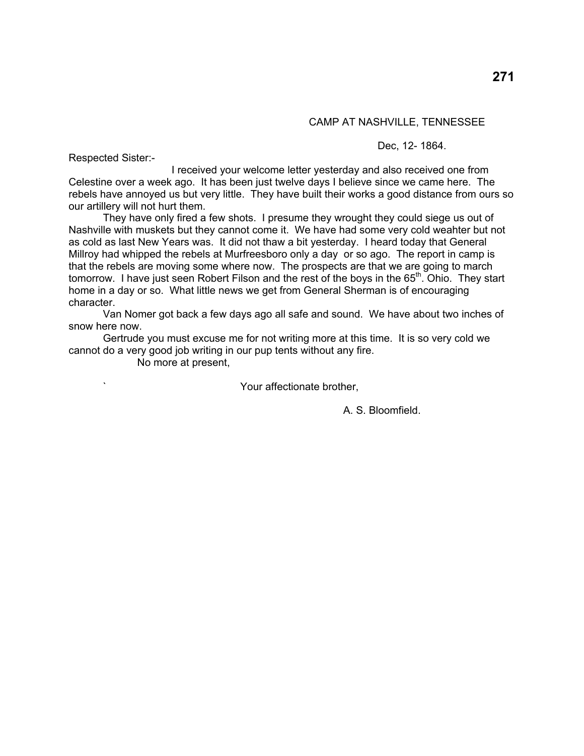### CAMP AT NASHVILLE, TENNESSEE

Respected Sister:-

Dec, 12- 1864.

 I received your welcome letter yesterday and also received one from Celestine over a week ago. It has been just twelve days I believe since we came here. The rebels have annoyed us but very little. They have built their works a good distance from ours so our artillery will not hurt them.

 They have only fired a few shots. I presume they wrought they could siege us out of Nashville with muskets but they cannot come it. We have had some very cold weahter but not as cold as last New Years was. It did not thaw a bit yesterday. I heard today that General Millroy had whipped the rebels at Murfreesboro only a day or so ago. The report in camp is that the rebels are moving some where now. The prospects are that we are going to march tomorrow. I have just seen Robert Filson and the rest of the boys in the 65<sup>th</sup>. Ohio. They start home in a day or so. What little news we get from General Sherman is of encouraging character.

 Van Nomer got back a few days ago all safe and sound. We have about two inches of snow here now.

 Gertrude you must excuse me for not writing more at this time. It is so very cold we cannot do a very good job writing in our pup tents without any fire.

No more at present,

Your affectionate brother,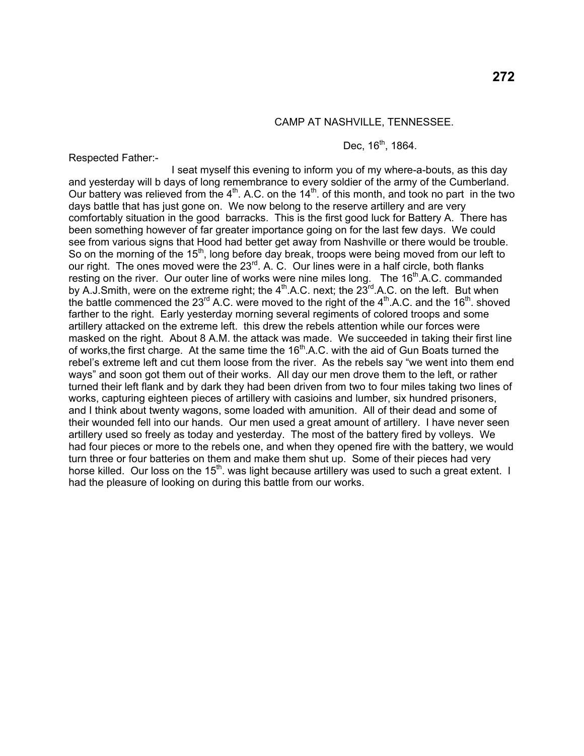# **272**

#### CAMP AT NASHVILLE, TENNESSEE.

### Dec,  $16^{th}$ , 1864.

Respected Father:-

 I seat myself this evening to inform you of my where-a-bouts, as this day and yesterday will b days of long remembrance to every soldier of the army of the Cumberland. Our battery was relieved from the  $4<sup>th</sup>$ . A.C. on the  $14<sup>th</sup>$  of this month, and took no part in the two days battle that has just gone on. We now belong to the reserve artillery and are very comfortably situation in the good barracks. This is the first good luck for Battery A. There has been something however of far greater importance going on for the last few days. We could see from various signs that Hood had better get away from Nashville or there would be trouble. So on the morning of the 15<sup>th</sup>, long before day break, troops were being moved from our left to our right. The ones moved were the  $23^{rd}$ . A. C. Our lines were in a half circle, both flanks resting on the river. Our outer line of works were nine miles long. The  $16<sup>th</sup>$ .A.C. commanded by A.J.Smith, were on the extreme right; the 4<sup>th</sup>.A.C. next; the 23<sup>rd</sup>.A.C. on the left. But when the battle commenced the  $23^{rd}$  A.C. were moved to the right of the  $4^{th}$  A.C. and the 16<sup>th</sup>. shoved farther to the right. Early yesterday morning several regiments of colored troops and some artillery attacked on the extreme left. this drew the rebels attention while our forces were masked on the right. About 8 A.M. the attack was made. We succeeded in taking their first line of works, the first charge. At the same time the 16<sup>th</sup> A.C. with the aid of Gun Boats turned the rebel's extreme left and cut them loose from the river. As the rebels say "we went into them end ways" and soon got them out of their works. All day our men drove them to the left, or rather turned their left flank and by dark they had been driven from two to four miles taking two lines of works, capturing eighteen pieces of artillery with casioins and lumber, six hundred prisoners, and I think about twenty wagons, some loaded with amunition. All of their dead and some of their wounded fell into our hands. Our men used a great amount of artillery. I have never seen artillery used so freely as today and yesterday. The most of the battery fired by volleys. We had four pieces or more to the rebels one, and when they opened fire with the battery, we would turn three or four batteries on them and make them shut up. Some of their pieces had very horse killed. Our loss on the 15<sup>th</sup>, was light because artillery was used to such a great extent. I had the pleasure of looking on during this battle from our works.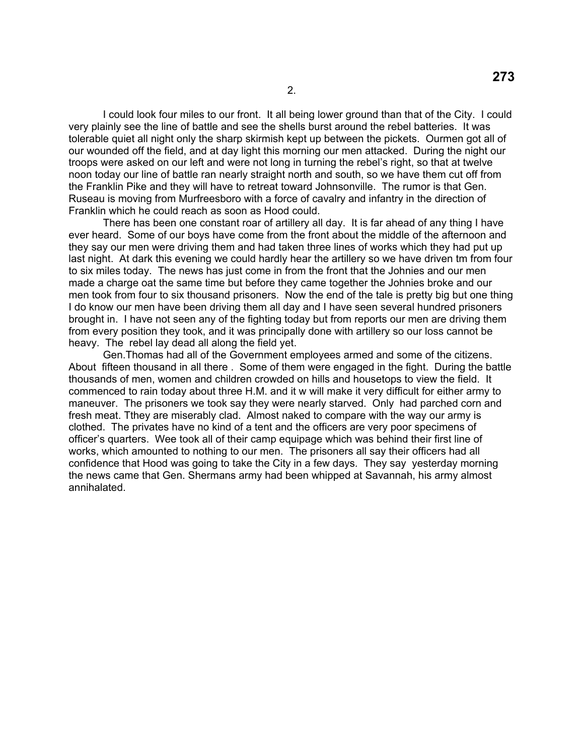I could look four miles to our front. It all being lower ground than that of the City. I could very plainly see the line of battle and see the shells burst around the rebel batteries. It was tolerable quiet all night only the sharp skirmish kept up between the pickets. Ourmen got all of our wounded off the field, and at day light this morning our men attacked. During the night our troops were asked on our left and were not long in turning the rebel's right, so that at twelve noon today our line of battle ran nearly straight north and south, so we have them cut off from the Franklin Pike and they will have to retreat toward Johnsonville. The rumor is that Gen. Ruseau is moving from Murfreesboro with a force of cavalry and infantry in the direction of Franklin which he could reach as soon as Hood could.

 There has been one constant roar of artillery all day. It is far ahead of any thing I have ever heard. Some of our boys have come from the front about the middle of the afternoon and they say our men were driving them and had taken three lines of works which they had put up last night. At dark this evening we could hardly hear the artillery so we have driven tm from four to six miles today. The news has just come in from the front that the Johnies and our men made a charge oat the same time but before they came together the Johnies broke and our men took from four to six thousand prisoners. Now the end of the tale is pretty big but one thing I do know our men have been driving them all day and I have seen several hundred prisoners brought in. I have not seen any of the fighting today but from reports our men are driving them from every position they took, and it was principally done with artillery so our loss cannot be heavy. The rebel lay dead all along the field yet.

 Gen.Thomas had all of the Government employees armed and some of the citizens. About fifteen thousand in all there . Some of them were engaged in the fight. During the battle thousands of men, women and children crowded on hills and housetops to view the field. It commenced to rain today about three H.M. and it w will make it very difficult for either army to maneuver. The prisoners we took say they were nearly starved. Only had parched corn and fresh meat. Tthey are miserably clad. Almost naked to compare with the way our army is clothed. The privates have no kind of a tent and the officers are very poor specimens of officer's quarters. Wee took all of their camp equipage which was behind their first line of works, which amounted to nothing to our men. The prisoners all say their officers had all confidence that Hood was going to take the City in a few days. They say yesterday morning the news came that Gen. Shermans army had been whipped at Savannah, his army almost annihalated.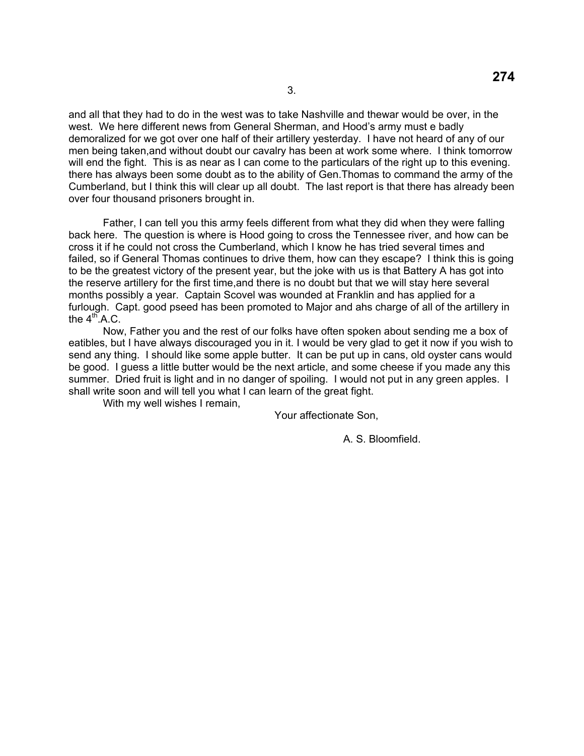and all that they had to do in the west was to take Nashville and thewar would be over, in the west. We here different news from General Sherman, and Hood's army must e badly demoralized for we got over one half of their artillery yesterday. I have not heard of any of our men being taken,and without doubt our cavalry has been at work some where. I think tomorrow will end the fight. This is as near as I can come to the particulars of the right up to this evening. there has always been some doubt as to the ability of Gen.Thomas to command the army of the Cumberland, but I think this will clear up all doubt. The last report is that there has already been over four thousand prisoners brought in.

 Father, I can tell you this army feels different from what they did when they were falling back here. The question is where is Hood going to cross the Tennessee river, and how can be cross it if he could not cross the Cumberland, which I know he has tried several times and failed, so if General Thomas continues to drive them, how can they escape? I think this is going to be the greatest victory of the present year, but the joke with us is that Battery A has got into the reserve artillery for the first time,and there is no doubt but that we will stay here several months possibly a year. Captain Scovel was wounded at Franklin and has applied for a furlough. Capt. good pseed has been promoted to Major and ahs charge of all of the artillery in the  $4<sup>th</sup>$ .A.C.

 Now, Father you and the rest of our folks have often spoken about sending me a box of eatibles, but I have always discouraged you in it. I would be very glad to get it now if you wish to send any thing. I should like some apple butter. It can be put up in cans, old oyster cans would be good. I guess a little butter would be the next article, and some cheese if you made any this summer. Dried fruit is light and in no danger of spoiling. I would not put in any green apples. I shall write soon and will tell you what I can learn of the great fight.

With my well wishes I remain,

Your affectionate Son,